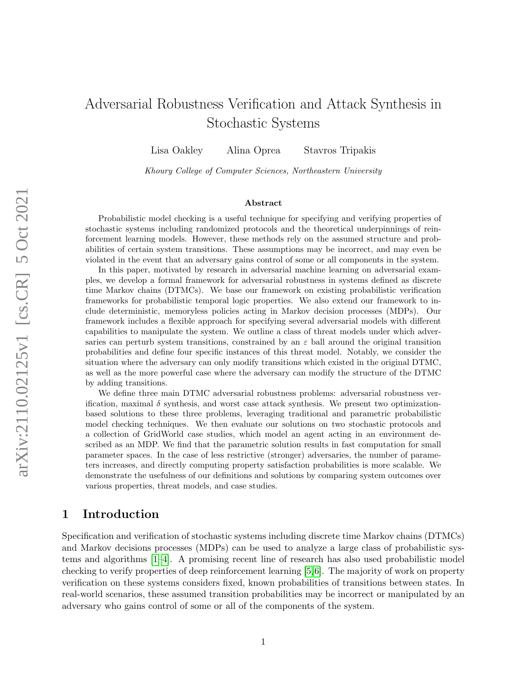# Adversarial Robustness Verification and Attack Synthesis in Stochastic Systems

Lisa Oakley Alina Oprea Stavros Tripakis

Khoury College of Computer Sciences, Northeastern University

#### Abstract

Probabilistic model checking is a useful technique for specifying and verifying properties of stochastic systems including randomized protocols and the theoretical underpinnings of reinforcement learning models. However, these methods rely on the assumed structure and probabilities of certain system transitions. These assumptions may be incorrect, and may even be violated in the event that an adversary gains control of some or all components in the system.

In this paper, motivated by research in adversarial machine learning on adversarial examples, we develop a formal framework for adversarial robustness in systems defined as discrete time Markov chains (DTMCs). We base our framework on existing probabilistic verification frameworks for probabilistic temporal logic properties. We also extend our framework to include deterministic, memoryless policies acting in Markov decision processes (MDPs). Our framework includes a flexible approach for specifying several adversarial models with different capabilities to manipulate the system. We outline a class of threat models under which adversaries can perturb system transitions, constrained by an  $\varepsilon$  ball around the original transition probabilities and define four specific instances of this threat model. Notably, we consider the situation where the adversary can only modify transitions which existed in the original DTMC, as well as the more powerful case where the adversary can modify the structure of the DTMC by adding transitions.

We define three main DTMC adversarial robustness problems: adversarial robustness verification, maximal  $\delta$  synthesis, and worst case attack synthesis. We present two optimizationbased solutions to these three problems, leveraging traditional and parametric probabilistic model checking techniques. We then evaluate our solutions on two stochastic protocols and a collection of GridWorld case studies, which model an agent acting in an environment described as an MDP. We find that the parametric solution results in fast computation for small parameter spaces. In the case of less restrictive (stronger) adversaries, the number of parameters increases, and directly computing property satisfaction probabilities is more scalable. We demonstrate the usefulness of our definitions and solutions by comparing system outcomes over various properties, threat models, and case studies.

### 1 Introduction

Specification and verification of stochastic systems including discrete time Markov chains (DTMCs) and Markov decisions processes (MDPs) can be used to analyze a large class of probabilistic systems and algorithms [\[1–](#page-19-0)[4\]](#page-19-1). A promising recent line of research has also used probabilistic model checking to verify properties of deep reinforcement learning [\[5,](#page-19-2)[6\]](#page-20-0). The majority of work on property verification on these systems considers fixed, known probabilities of transitions between states. In real-world scenarios, these assumed transition probabilities may be incorrect or manipulated by an adversary who gains control of some or all of the components of the system.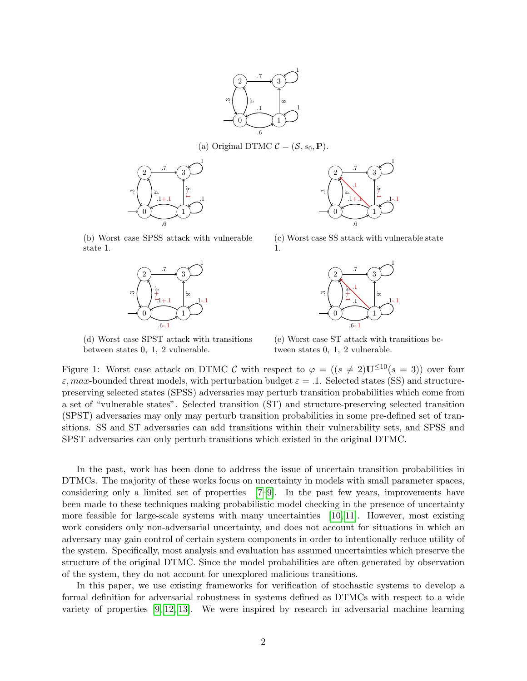

(a) Original DTMC  $\mathcal{C} = (\mathcal{S}, s_0, \mathbf{P}).$ 

<span id="page-1-0"></span>

(b) Worst case SPSS attack with vulnerable state 1.



(d) Worst case SPST attack with transitions between states 0, 1, 2 vulnerable.



(c) Worst case SS attack with vulnerable state 1.



(e) Worst case ST attack with transitions between states 0, 1, 2 vulnerable.

Figure 1: Worst case attack on DTMC C with respect to  $\varphi = ((s \neq 2)U^{\leq 10}(s = 3))$  over four  $\varepsilon$ , max-bounded threat models, with perturbation budget  $\varepsilon = 0.1$ . Selected states (SS) and structurepreserving selected states (SPSS) adversaries may perturb transition probabilities which come from a set of "vulnerable states". Selected transition (ST) and structure-preserving selected transition (SPST) adversaries may only may perturb transition probabilities in some pre-defined set of transitions. SS and ST adversaries can add transitions within their vulnerability sets, and SPSS and SPST adversaries can only perturb transitions which existed in the original DTMC.

In the past, work has been done to address the issue of uncertain transition probabilities in DTMCs. The majority of these works focus on uncertainty in models with small parameter spaces, considering only a limited set of properties [\[7–](#page-20-1)[9\]](#page-20-2). In the past few years, improvements have been made to these techniques making probabilistic model checking in the presence of uncertainty more feasible for large-scale systems with many uncertainties  $[10, 11]$  $[10, 11]$ . However, most existing work considers only non-adversarial uncertainty, and does not account for situations in which an adversary may gain control of certain system components in order to intentionally reduce utility of the system. Specifically, most analysis and evaluation has assumed uncertainties which preserve the structure of the original DTMC. Since the model probabilities are often generated by observation of the system, they do not account for unexplored malicious transitions.

In this paper, we use existing frameworks for verification of stochastic systems to develop a formal definition for adversarial robustness in systems defined as DTMCs with respect to a wide variety of properties [\[9,](#page-20-2) [12,](#page-20-5) [13\]](#page-20-6). We were inspired by research in adversarial machine learning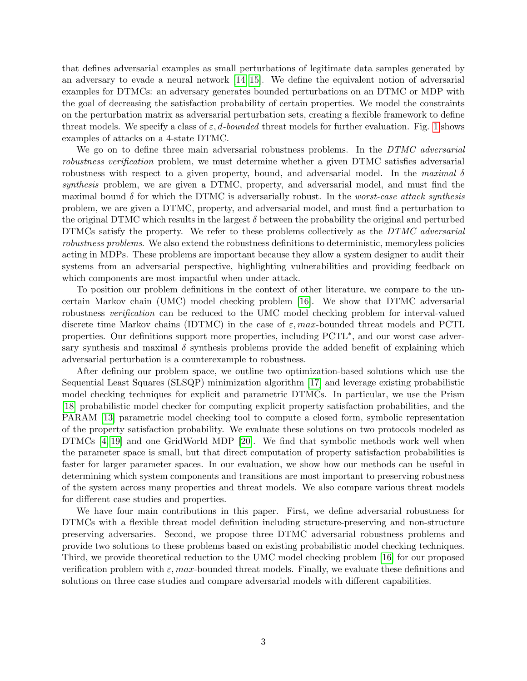that defines adversarial examples as small perturbations of legitimate data samples generated by an adversary to evade a neural network [\[14,](#page-20-7) [15\]](#page-20-8). We define the equivalent notion of adversarial examples for DTMCs: an adversary generates bounded perturbations on an DTMC or MDP with the goal of decreasing the satisfaction probability of certain properties. We model the constraints on the perturbation matrix as adversarial perturbation sets, creating a flexible framework to define threat models. We specify a class of  $\varepsilon$ , d-bounded threat models for further evaluation. Fig. [1](#page-1-0) shows examples of attacks on a 4-state DTMC.

We go on to define three main adversarial robustness problems. In the DTMC adversarial robustness verification problem, we must determine whether a given DTMC satisfies adversarial robustness with respect to a given property, bound, and adversarial model. In the maximal  $\delta$ synthesis problem, we are given a DTMC, property, and adversarial model, and must find the maximal bound  $\delta$  for which the DTMC is adversarially robust. In the *worst-case attack synthesis* problem, we are given a DTMC, property, and adversarial model, and must find a perturbation to the original DTMC which results in the largest  $\delta$  between the probability the original and perturbed DTMCs satisfy the property. We refer to these problems collectively as the DTMC adversarial robustness problems. We also extend the robustness definitions to deterministic, memoryless policies acting in MDPs. These problems are important because they allow a system designer to audit their systems from an adversarial perspective, highlighting vulnerabilities and providing feedback on which components are most impactful when under attack.

To position our problem definitions in the context of other literature, we compare to the uncertain Markov chain (UMC) model checking problem [\[16\]](#page-20-9). We show that DTMC adversarial robustness *verification* can be reduced to the UMC model checking problem for interval-valued discrete time Markov chains (IDTMC) in the case of  $\varepsilon$ , max-bounded threat models and PCTL properties. Our definitions support more properties, including PCTL<sup>\*</sup>, and our worst case adversary synthesis and maximal  $\delta$  synthesis problems provide the added benefit of explaining which adversarial perturbation is a counterexample to robustness.

After defining our problem space, we outline two optimization-based solutions which use the Sequential Least Squares (SLSQP) minimization algorithm [\[17\]](#page-21-0) and leverage existing probabilistic model checking techniques for explicit and parametric DTMCs. In particular, we use the Prism [\[18\]](#page-21-1) probabilistic model checker for computing explicit property satisfaction probabilities, and the PARAM [\[13\]](#page-20-6) parametric model checking tool to compute a closed form, symbolic representation of the property satisfaction probability. We evaluate these solutions on two protocols modeled as DTMCs [\[4,](#page-19-1) [19\]](#page-21-2) and one GridWorld MDP [\[20\]](#page-21-3). We find that symbolic methods work well when the parameter space is small, but that direct computation of property satisfaction probabilities is faster for larger parameter spaces. In our evaluation, we show how our methods can be useful in determining which system components and transitions are most important to preserving robustness of the system across many properties and threat models. We also compare various threat models for different case studies and properties.

We have four main contributions in this paper. First, we define adversarial robustness for DTMCs with a flexible threat model definition including structure-preserving and non-structure preserving adversaries. Second, we propose three DTMC adversarial robustness problems and provide two solutions to these problems based on existing probabilistic model checking techniques. Third, we provide theoretical reduction to the UMC model checking problem [\[16\]](#page-20-9) for our proposed verification problem with  $\varepsilon$ , max-bounded threat models. Finally, we evaluate these definitions and solutions on three case studies and compare adversarial models with different capabilities.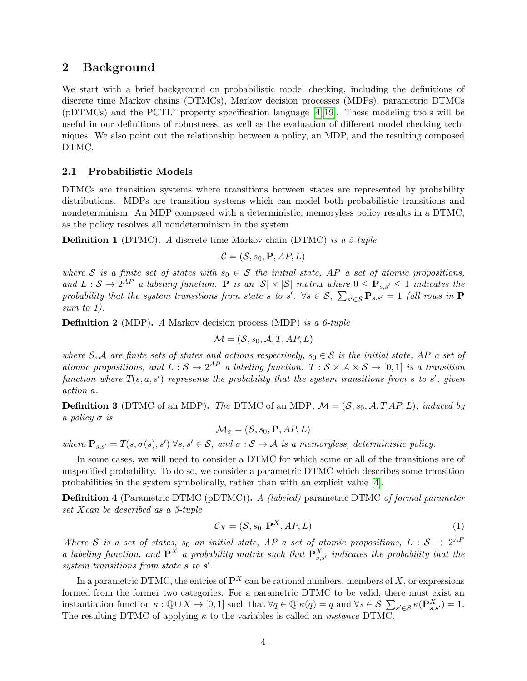### 2 Background

We start with a brief background on probabilistic model checking, including the definitions of discrete time Markov chains (DTMCs), Markov decision processes (MDPs), parametric DTMCs (pDTMCs) and the PCTL<sup>∗</sup> property specification language [\[4,](#page-19-1) [19\]](#page-21-2). These modeling tools will be useful in our definitions of robustness, as well as the evaluation of different model checking techniques. We also point out the relationship between a policy, an MDP, and the resulting composed DTMC.

### 2.1 Probabilistic Models

DTMCs are transition systems where transitions between states are represented by probability distributions. MDPs are transition systems which can model both probabilistic transitions and nondeterminism. An MDP composed with a deterministic, memoryless policy results in a DTMC, as the policy resolves all nondeterminism in the system.

**Definition 1** (DTMC). A discrete time Markov chain (DTMC) is a 5-tuple

<span id="page-3-0"></span>
$$
\mathcal{C} = (\mathcal{S}, s_0, \mathbf{P}, AP, L)
$$

where S is a finite set of states with  $s_0 \in S$  the initial state, AP a set of atomic propositions, and  $L: \mathcal{S} \to 2^{AP}$  a labeling function. P is an  $|\mathcal{S}| \times |\mathcal{S}|$  matrix where  $0 \leq P_{s,s'} \leq 1$  indicates the probability that the system transitions from state s to s'.  $\forall s \in S$ ,  $\sum_{s' \in S} P_{s,s'} = 1$  (all rows in  $P$ sum to 1).

Definition 2 (MDP). A Markov decision process (MDP) is a 6-tuple

$$
\mathcal{M} = (\mathcal{S}, s_0, \mathcal{A}, T, AP, L)
$$

where S, A are finite sets of states and actions respectively,  $s_0 \in S$  is the initial state, AP a set of atomic propositions, and  $L:\mathcal{S} \to 2^{AP}$  a labeling function.  $T:\mathcal{S} \times \mathcal{A} \times \mathcal{S} \to [0,1]$  is a transition function where  $T(s, a, s')$  represents the probability that the system transitions from s to s', given action a.

**Definition 3** (DTMC of an MDP). The DTMC of an MDP,  $\mathcal{M} = (\mathcal{S}, s_0, \mathcal{A}, T \cdot AP, L)$ , induced by a policy  $\sigma$  is

$$
\mathcal{M}_{\sigma} = (\mathcal{S}, s_0, \mathbf{P}, AP, L)
$$

where  $\mathbf{P}_{s,s'} = T(s, \sigma(s), s') \ \forall s, s' \in \mathcal{S}$ , and  $\sigma : \mathcal{S} \to \mathcal{A}$  is a memoryless, deterministic policy.

In some cases, we will need to consider a DTMC for which some or all of the transitions are of unspecified probability. To do so, we consider a parametric DTMC which describes some transition probabilities in the system symbolically, rather than with an explicit value [\[4\]](#page-19-1).

**Definition 4** (Parametric DTMC (pDTMC)). A *(labeled)* parametric DTMC of formal parameter set Xcan be described as a 5-tuple

$$
\mathcal{C}_X = (\mathcal{S}, s_0, \mathbf{P}^X, AP, L) \tag{1}
$$

Where S is a set of states, s<sub>0</sub> an initial state, AP a set of atomic propositions, L :  $S \rightarrow 2^{AF}$ a labeling function, and  $\mathbf{P}^X$  a probability matrix such that  $\mathbf{P}^X_{s,s'}$  indicates the probability that the system transitions from state  $s$  to  $s'$ .

In a parametric DTMC, the entries of  $\mathbf{P}^X$  can be rational numbers, members of X, or expressions formed from the former two categories. For a parametric DTMC to be valid, there must exist an instantiation function  $\kappa : \mathbb{Q} \cup X \to [0,1]$  such that  $\forall q \in \mathbb{Q}$   $\kappa(q) = q$  and  $\forall s \in \mathcal{S}$   $\sum_{s' \in \mathcal{S}} \kappa(\mathbf{P}_{s,s'}^X) = 1$ . The resulting DTMC of applying  $\kappa$  to the variables is called an *instance* DTMC.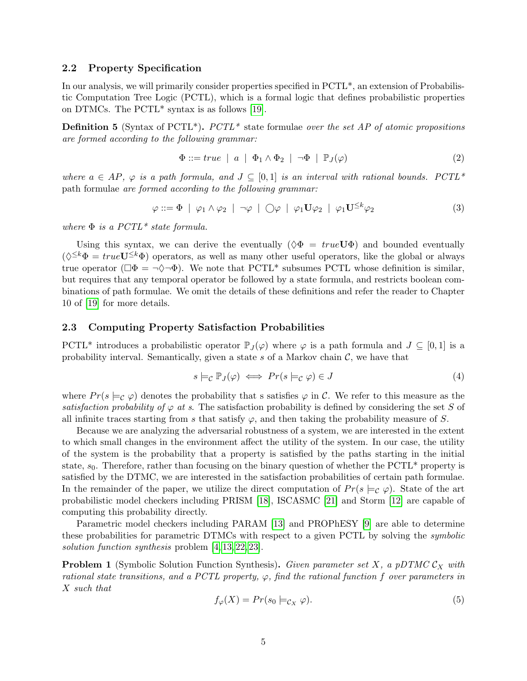### 2.2 Property Specification

In our analysis, we will primarily consider properties specified in PCTL\*, an extension of Probabilistic Computation Tree Logic (PCTL), which is a formal logic that defines probabilistic properties on DTMCs. The PCTL\* syntax is as follows [\[19\]](#page-21-2).

**Definition 5** (Syntax of PCTL<sup>\*</sup>). PCTL<sup>\*</sup> state formulae over the set AP of atomic propositions are formed according to the following grammar:

$$
\Phi ::= true \mid a \mid \Phi_1 \wedge \Phi_2 \mid \neg \Phi \mid \mathbb{P}_J(\varphi) \tag{2}
$$

where  $a \in AP$ ,  $\varphi$  is a path formula, and  $J \subseteq [0,1]$  is an interval with rational bounds. PCTL\* path formulae are formed according to the following grammar:

$$
\varphi ::= \Phi \mid \varphi_1 \land \varphi_2 \mid \neg \varphi \mid \bigcirc \varphi \mid \varphi_1 \mathbf{U} \varphi_2 \mid \varphi_1 \mathbf{U}^{\leq k} \varphi_2 \tag{3}
$$

where  $\Phi$  is a PCTL<sup>\*</sup> state formula.

Using this syntax, we can derive the eventually  $(\Diamond \Phi = true U \Phi)$  and bounded eventually  $(\lozenge^{\le k} \Phi = true \mathbf{U}^{\le k} \Phi)$  operators, as well as many other useful operators, like the global or always true operator ( $\Box \Phi = \neg \Diamond \neg \Phi$ ). We note that PCTL<sup>\*</sup> subsumes PCTL whose definition is similar, but requires that any temporal operator be followed by a state formula, and restricts boolean combinations of path formulae. We omit the details of these definitions and refer the reader to Chapter 10 of [\[19\]](#page-21-2) for more details.

### 2.3 Computing Property Satisfaction Probabilities

PCTL<sup>\*</sup> introduces a probabilistic operator  $\mathbb{P}_J(\varphi)$  where  $\varphi$  is a path formula and  $J \subseteq [0,1]$  is a probability interval. Semantically, given a state s of a Markov chain  $\mathcal{C}$ , we have that

$$
s \models_{\mathcal{C}} \mathbb{P}_J(\varphi) \iff Pr(s \models_{\mathcal{C}} \varphi) \in J \tag{4}
$$

where  $Pr(s \models_{\mathcal{C}} \varphi)$  denotes the probability that s satisfies  $\varphi$  in C. We refer to this measure as the satisfaction probability of  $\varphi$  at s. The satisfaction probability is defined by considering the set S of all infinite traces starting from s that satisfy  $\varphi$ , and then taking the probability measure of S.

Because we are analyzing the adversarial robustness of a system, we are interested in the extent to which small changes in the environment affect the utility of the system. In our case, the utility of the system is the probability that a property is satisfied by the paths starting in the initial state,  $s_0$ . Therefore, rather than focusing on the binary question of whether the PCTL\* property is satisfied by the DTMC, we are interested in the satisfaction probabilities of certain path formulae. In the remainder of the paper, we utilize the direct computation of  $Pr(s \models_C \varphi)$ . State of the art probabilistic model checkers including PRISM [\[18\]](#page-21-1), ISCASMC [\[21\]](#page-21-4) and Storm [\[12\]](#page-20-5) are capable of computing this probability directly.

Parametric model checkers including PARAM [\[13\]](#page-20-6) and PROPhESY [\[9\]](#page-20-2) are able to determine these probabilities for parametric DTMCs with respect to a given PCTL by solving the *symbolic* solution function synthesis problem [\[4,](#page-19-1) [13,](#page-20-6) [22,](#page-21-5) [23\]](#page-21-6).

**Problem 1** (Symbolic Solution Function Synthesis). Given parameter set X, a pDTMC  $\mathcal{C}_X$  with rational state transitions, and a PCTL property,  $\varphi$ , find the rational function f over parameters in X such that

<span id="page-4-0"></span>
$$
f_{\varphi}(X) = Pr(s_0 \models_{\mathcal{C}_X} \varphi).
$$
\n<sup>(5)</sup>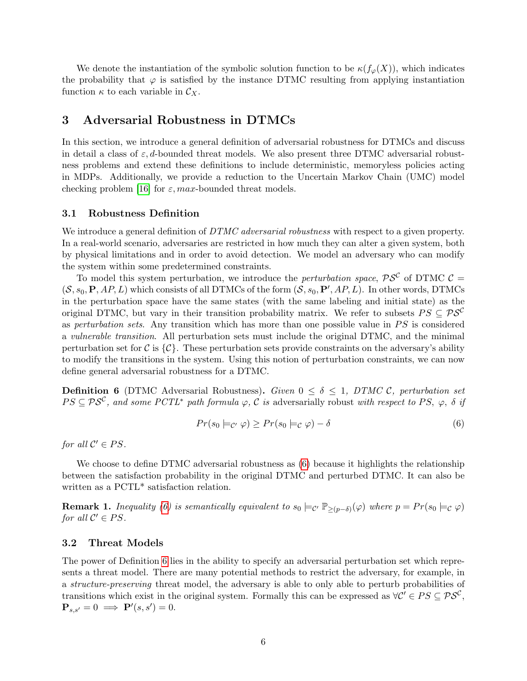We denote the instantiation of the symbolic solution function to be  $\kappa(f_{\varphi}(X))$ , which indicates the probability that  $\varphi$  is satisfied by the instance DTMC resulting from applying instantiation function  $\kappa$  to each variable in  $\mathcal{C}_X$ .

### 3 Adversarial Robustness in DTMCs

In this section, we introduce a general definition of adversarial robustness for DTMCs and discuss in detail a class of  $\varepsilon$ , d-bounded threat models. We also present three DTMC adversarial robustness problems and extend these definitions to include deterministic, memoryless policies acting in MDPs. Additionally, we provide a reduction to the Uncertain Markov Chain (UMC) model checking problem [\[16\]](#page-20-9) for  $\varepsilon$ , max-bounded threat models.

### 3.1 Robustness Definition

We introduce a general definition of DTMC adversarial robustness with respect to a given property. In a real-world scenario, adversaries are restricted in how much they can alter a given system, both by physical limitations and in order to avoid detection. We model an adversary who can modify the system within some predetermined constraints.

To model this system perturbation, we introduce the *perturbation space*,  $\mathcal{PS}^{\mathcal{C}}$  of DTMC  $\mathcal{C} =$  $(S, s_0, \mathbf{P}, AP, L)$  which consists of all DTMCs of the form  $(S, s_0, \mathbf{P}', AP, L)$ . In other words, DTMCs in the perturbation space have the same states (with the same labeling and initial state) as the original DTMC, but vary in their transition probability matrix. We refer to subsets  $PS \subseteq PS^C$ as *perturbation sets.* Any transition which has more than one possible value in  $PS$  is considered a vulnerable transition. All perturbation sets must include the original DTMC, and the minimal perturbation set for C is  $\{\mathcal{C}\}\$ . These perturbation sets provide constraints on the adversary's ability to modify the transitions in the system. Using this notion of perturbation constraints, we can now define general adversarial robustness for a DTMC.

**Definition 6** (DTMC Adversarial Robustness). Given  $0 \le \delta \le 1$ , DTMC C, perturbation set  $PS \subseteq PS^{\mathcal{C}}$ , and some  $PCTL^*$  path formula  $\varphi$ ,  $\overline{\mathcal{C}}$  is adversarially robust with respect to PS,  $\varphi$ ,  $\delta$  if

<span id="page-5-0"></span>
$$
Pr(s_0 \models_{\mathcal{C}'} \varphi) \ge Pr(s_0 \models_{\mathcal{C}} \varphi) - \delta \tag{6}
$$

for all  $C' \in PS$ .

We choose to define DTMC adversarial robustness as  $(6)$  because it highlights the relationship between the satisfaction probability in the original DTMC and perturbed DTMC. It can also be written as a PCTL<sup>\*</sup> satisfaction relation.

<span id="page-5-1"></span>**Remark 1.** Inequality [\(6\)](#page-5-0) is semantically equivalent to  $s_0 \models_{\mathcal{C}'} \mathbb{P}_{\geq (p-\delta)}(\varphi)$  where  $p = Pr(s_0 \models_{\mathcal{C}} \varphi)$ for all  $C' \in PS$ .

#### <span id="page-5-2"></span>3.2 Threat Models

The power of Definition [6](#page-5-0) lies in the ability to specify an adversarial perturbation set which represents a threat model. There are many potential methods to restrict the adversary, for example, in a structure-preserving threat model, the adversary is able to only able to perturb probabilities of transitions which exist in the original system. Formally this can be expressed as  $\forall C' \in PS \subseteq PS^{\mathcal{C}}$ ,  $\mathbf{P}_{s,s'}=0 \implies \mathbf{P}'(s,s')=0.$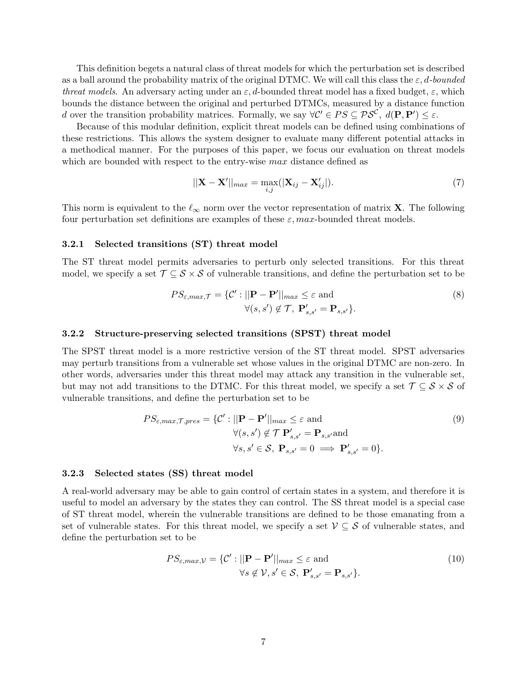This definition begets a natural class of threat models for which the perturbation set is described as a ball around the probability matrix of the original DTMC. We will call this class the  $\varepsilon$ , d-bounded threat models. An adversary acting under an  $\varepsilon$ , d-bounded threat model has a fixed budget,  $\varepsilon$ , which bounds the distance between the original and perturbed DTMCs, measured by a distance function d over the transition probability matrices. Formally, we say  $\forall C' \in PS \subseteq PS^{\mathcal{C}}$ ,  $d(\mathbf{P}, \mathbf{P'}) \leq \varepsilon$ .

Because of this modular definition, explicit threat models can be defined using combinations of these restrictions. This allows the system designer to evaluate many different potential attacks in a methodical manner. For the purposes of this paper, we focus our evaluation on threat models which are bounded with respect to the entry-wise max distance defined as

$$
||\mathbf{X} - \mathbf{X}'||_{max} = \max_{i,j} (|\mathbf{X}_{ij} - \mathbf{X}'_{ij}|).
$$
 (7)

This norm is equivalent to the  $\ell_{\infty}$  norm over the vector representation of matrix **X**. The following four perturbation set definitions are examples of these  $\varepsilon$ , max-bounded threat models.

#### 3.2.1 Selected transitions (ST) threat model

The ST threat model permits adversaries to perturb only selected transitions. For this threat model, we specify a set  $\mathcal{T} \subseteq \mathcal{S} \times \mathcal{S}$  of vulnerable transitions, and define the perturbation set to be

$$
PS_{\varepsilon,max,\mathcal{T}} = \{ \mathcal{C}' : ||\mathbf{P} - \mathbf{P}'||_{max} \le \varepsilon \text{ and}
$$
  

$$
\forall (s, s') \notin \mathcal{T}, \ \mathbf{P}'_{s,s'} = \mathbf{P}_{s,s'} \}.
$$
 (8)

#### 3.2.2 Structure-preserving selected transitions (SPST) threat model

The SPST threat model is a more restrictive version of the ST threat model. SPST adversaries may perturb transitions from a vulnerable set whose values in the original DTMC are non-zero. In other words, adversaries under this threat model may attack any transition in the vulnerable set, but may not add transitions to the DTMC. For this threat model, we specify a set  $\mathcal{T} \subseteq \mathcal{S} \times \mathcal{S}$  of vulnerable transitions, and define the perturbation set to be

$$
PS_{\varepsilon,max,\mathcal{T},pres} = \{ \mathcal{C}' : ||\mathbf{P} - \mathbf{P}'||_{max} \le \varepsilon \text{ and}
$$
  
\n
$$
\forall (s, s') \notin \mathcal{T} \mathbf{P}'_{s,s'} = \mathbf{P}_{s,s'} \text{ and}
$$
  
\n
$$
\forall s, s' \in \mathcal{S}, \ \mathbf{P}_{s,s'} = 0 \implies \mathbf{P}'_{s,s'} = 0 \}.
$$
\n(9)

#### 3.2.3 Selected states (SS) threat model

A real-world adversary may be able to gain control of certain states in a system, and therefore it is useful to model an adversary by the states they can control. The SS threat model is a special case of ST threat model, wherein the vulnerable transitions are defined to be those emanating from a set of vulnerable states. For this threat model, we specify a set  $\mathcal{V} \subseteq \mathcal{S}$  of vulnerable states, and define the perturbation set to be

$$
PS_{\varepsilon,max,\mathcal{V}} = \{ \mathcal{C}' : ||\mathbf{P} - \mathbf{P}'||_{max} \le \varepsilon \text{ and}
$$
  
\n
$$
\forall s \notin \mathcal{V}, s' \in \mathcal{S}, \ \mathbf{P}'_{s,s'} = \mathbf{P}_{s,s'} \}. \tag{10}
$$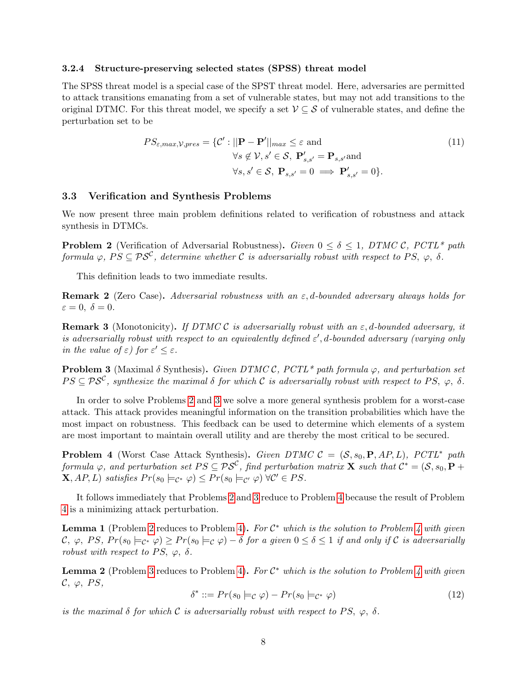#### 3.2.4 Structure-preserving selected states (SPSS) threat model

The SPSS threat model is a special case of the SPST threat model. Here, adversaries are permitted to attack transitions emanating from a set of vulnerable states, but may not add transitions to the original DTMC. For this threat model, we specify a set  $\mathcal{V} \subseteq \mathcal{S}$  of vulnerable states, and define the perturbation set to be

$$
PS_{\varepsilon,max,\mathcal{V},pres} = \{ \mathcal{C}' : ||\mathbf{P} - \mathbf{P}'||_{max} \le \varepsilon \text{ and}
$$
  
\n
$$
\forall s \notin \mathcal{V}, s' \in \mathcal{S}, \ \mathbf{P}'_{s,s'} = \mathbf{P}_{s,s'} \text{and}
$$
  
\n
$$
\forall s, s' \in \mathcal{S}, \ \mathbf{P}_{s,s'} = 0 \implies \mathbf{P}'_{s,s'} = 0 \}.
$$
\n(11)

### <span id="page-7-3"></span>3.3 Verification and Synthesis Problems

We now present three main problem definitions related to verification of robustness and attack synthesis in DTMCs.

<span id="page-7-0"></span>**Problem 2** (Verification of Adversarial Robustness). Given  $0 \le \delta \le 1$ , DTMC C, PCTL\* path formula  $\varphi$ ,  $PS \subseteq PS^{\mathcal{C}}$ , determine whether  $\mathcal C$  is adversarially robust with respect to PS,  $\varphi$ ,  $\delta$ .

This definition leads to two immediate results.

**Remark 2** (Zero Case). Adversarial robustness with an  $\varepsilon$ , d-bounded adversary always holds for  $\varepsilon = 0, \ \delta = 0.$ 

<span id="page-7-6"></span>**Remark 3** (Monotonicity). If DTMC C is adversarially robust with an  $\varepsilon$ , d-bounded adversary, it is adversarially robust with respect to an equivalently defined  $\varepsilon'$ , d-bounded adversary (varying only in the value of  $\varepsilon$ ) for  $\varepsilon' \leq \varepsilon$ .

<span id="page-7-1"></span>**Problem 3** (Maximal  $\delta$  Synthesis). Given DTMC C, PCTL\* path formula  $\varphi$ , and perturbation set  $PS \subseteq PS^{\mathcal{C}}$ , synthesize the maximal  $\delta$  for which  $\mathcal{C}$  is adversarially robust with respect to PS,  $\varphi$ ,  $\delta$ .

In order to solve Problems [2](#page-7-0) and [3](#page-7-1) we solve a more general synthesis problem for a worst-case attack. This attack provides meaningful information on the transition probabilities which have the most impact on robustness. This feedback can be used to determine which elements of a system are most important to maintain overall utility and are thereby the most critical to be secured.

<span id="page-7-2"></span>**Problem 4** (Worst Case Attack Synthesis). Given DTMC  $C = (S, s_0, P, AP, L)$ , PCTL<sup>\*</sup> path formula  $\varphi$ , and perturbation set  $PS \subseteq \mathcal{PS}^{\mathcal C}$ , find perturbation matrix **X** such that  $\mathcal C^* = (\mathcal S, s_0, \mathbf P + \mathcal S)$  $\mathbf{X}, AP, L$ ) satisfies  $Pr(s_0 \models_{\mathcal{C}^*} \varphi) \leq Pr(s_0 \models_{\mathcal{C}'} \varphi) \forall \mathcal{C}' \in PS.$ 

It follows immediately that Problems [2](#page-7-0) and [3](#page-7-1) reduce to Problem [4](#page-7-2) because the result of Problem [4](#page-7-2) is a minimizing attack perturbation.

<span id="page-7-4"></span>**Lemma 1** (Problem [2](#page-7-0) reduces to Problem [4\)](#page-7-2). For  $C^*$  which is the solution to Problem [4](#page-7-2) with given  $(\mathcal{C},\ \varphi,\ PS,\ Pr(s_0\models_{\mathcal{C}^*}\varphi)\geq Pr(s_0\models_{\mathcal{C}}\varphi)-\delta\ for\ a\ given\ 0\leq\delta\leq 1\ \ if\ and\ only\ if\ \mathcal{C}\ is\ adversarially\$ robust with respect to PS,  $\varphi$ ,  $\delta$ .

**Lemma 2** (Problem [3](#page-7-1) reduces to Problem [4\)](#page-7-2). For  $C^*$  which is the solution to Problem [4](#page-7-2) with given  $C, \varphi, PS,$ 

<span id="page-7-5"></span>
$$
\delta^* ::= Pr(s_0 \models_{\mathcal{C}} \varphi) - Pr(s_0 \models_{\mathcal{C}^*} \varphi) \tag{12}
$$

is the maximal  $\delta$  for which C is adversarially robust with respect to PS,  $\varphi$ ,  $\delta$ .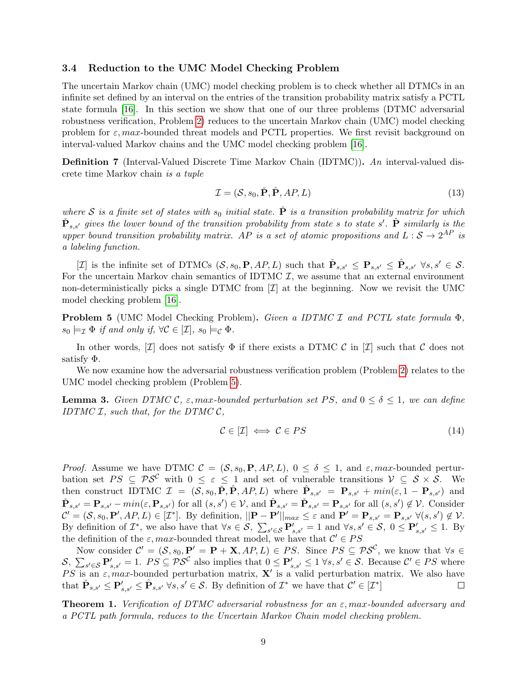### <span id="page-8-2"></span>3.4 Reduction to the UMC Model Checking Problem

The uncertain Markov chain (UMC) model checking problem is to check whether all DTMCs in an infinite set defined by an interval on the entries of the transition probability matrix satisfy a PCTL state formula [\[16\]](#page-20-9). In this section we show that one of our three problems (DTMC adversarial robustness verification, Problem [2\)](#page-7-0) reduces to the uncertain Markov chain (UMC) model checking problem for  $\varepsilon$ , max-bounded threat models and PCTL properties. We first revisit background on interval-valued Markov chains and the UMC model checking problem [\[16\]](#page-20-9).

Definition 7 (Interval-Valued Discrete Time Markov Chain (IDTMC)). An interval-valued discrete time Markov chain is a tuple

$$
\mathcal{I} = (\mathcal{S}, s_0, \check{\mathbf{P}}, \hat{\mathbf{P}}, AP, L) \tag{13}
$$

where S is a finite set of states with  $s_0$  initial state.  $\tilde{P}$  is a transition probability matrix for which  $\check{\mathbf{P}}_{s,s'}$  gives the lower bound of the transition probability from state s to state s'.  $\hat{\mathbf{P}}$  similarly is the upper bound transition probability matrix. AP is a set of atomic propositions and  $L:\mathcal{S} \to 2^{AP}$  is a labeling function.

[*I*] is the infinite set of DTMCs  $(S, s_0, \mathbf{P}, AP, L)$  such that  $\check{\mathbf{P}}_{s,s'} \leq \mathbf{P}_{s,s'} \leq \hat{\mathbf{P}}_{s,s'} \ \forall s, s' \in \mathcal{S}$ . For the uncertain Markov chain semantics of IDTMC  $I$ , we assume that an external environment non-deterministically picks a single DTMC from  $[\mathcal{I}]$  at the beginning. Now we revisit the UMC model checking problem [\[16\]](#page-20-9).

<span id="page-8-0"></span>Problem 5 (UMC Model Checking Problem). Given a IDTMC I and PCTL state formula Φ,  $s_0 \models_{\mathcal{I}} \Phi$  if and only if,  $\forall \mathcal{C} \in [\mathcal{I}], s_0 \models_{\mathcal{C}} \Phi$ .

In other words,  $[\mathcal{I}]$  does not satisfy  $\Phi$  if there exists a DTMC  $\mathcal{C}$  in  $[\mathcal{I}]$  such that  $\mathcal{C}$  does not satisfy Φ.

We now examine how the adversarial robustness verification problem (Problem [2\)](#page-7-0) relates to the UMC model checking problem (Problem [5\)](#page-8-0).

**Lemma 3.** Given DTMC C,  $\varepsilon$ , max-bounded perturbation set PS, and  $0 \le \delta \le 1$ , we can define IDTMC  $I$ , such that, for the DTMC  $C$ ,

<span id="page-8-1"></span>
$$
\mathcal{C} \in [\mathcal{I}] \iff \mathcal{C} \in PS \tag{14}
$$

*Proof.* Assume we have DTMC  $\mathcal{C} = (\mathcal{S}, s_0, \mathbf{P}, AP, L), 0 \le \delta \le 1$ , and  $\varepsilon, max$ -bounded perturbation set  $PS \subseteq PS^{\mathcal{C}}$  with  $0 \leq \varepsilon \leq 1$  and set of vulnerable transitions  $\mathcal{V} \subseteq S \times S$ . We then construct IDTMC  $\mathcal{I} = (\mathcal{S}, s_0, \check{P}, \hat{P}, AP, L)$  where  $\hat{P}_{s,s'} = P_{s,s'} + min(\varepsilon, 1 - P_{s,s'})$  and  $\check{\mathbf{P}}_{s,s'} = \mathbf{P}_{s,s'} - min(\varepsilon, \mathbf{P}_{s,s'})$  for all  $(s, s') \in \mathcal{V}$ , and  $\hat{\mathbf{P}}_{s,s'} = \check{\mathbf{P}}_{s,s'} = \mathbf{P}_{s,s'}$  for all  $(s, s') \notin \mathcal{V}$ . Consider  $\mathcal{C}' = (\mathcal{S}, s_0, \mathbf{P}', AP, L) \in [\mathcal{I}^*]$ . By definition,  $||\mathbf{P} - \mathbf{P}'||_{max} \leq \varepsilon$  and  $\mathbf{P}' = \mathbf{P}_{s,s'} = \mathbf{P}_{s,s'} \ \forall (s,s') \notin \mathcal{V}$ . By definition of  $\mathcal{I}^*$ , we also have that  $\forall s \in \mathcal{S}$ ,  $\sum_{s' \in \mathcal{S}} \mathbf{P}'_{s,s'} = 1$  and  $\forall s, s' \in \mathcal{S}$ ,  $0 \leq \mathbf{P}'_{s,s'} \leq 1$ . By the definition of the  $\varepsilon$ , max-bounded threat model, we have that  $\mathcal{C}' \in PS$ 

Now consider  $\mathcal{C}' = (\mathcal{S}, s_0, \mathbf{P}' = \mathbf{P} + \mathbf{X}, AP, L) \in PS$ . Since  $PS \subseteq \mathcal{PS}^{\mathcal{C}}$ , we know that  $\forall s \in \mathcal{S}$  $\mathcal{S}, \sum_{s' \in \mathcal{S}} \mathbf{P}'_{s,s'} = 1$ .  $PS \subseteq \mathcal{PS}^{\mathcal{C}}$  also implies that  $0 \leq \mathbf{P}'_{s,s'} \leq 1 \ \forall s, s' \in \mathcal{S}$ . Because  $\mathcal{C}' \in PS$  where PS is an  $\varepsilon$ , max-bounded perturbation matrix, **X'** is a valid perturbation matrix. We also have that  $\check{\mathbf{P}}_{s,s'} \leq \mathbf{P}'_{s,s'} \leq \hat{\mathbf{P}}_{s,s'} \ \forall s,s' \in \mathcal{S}$ . By definition of  $\mathcal{I}^*$  we have that  $\mathcal{C}' \in [\mathcal{I}^*]$  $\Box$ 

**Theorem 1.** Verification of DTMC adversarial robustness for an  $\varepsilon$ , max-bounded adversary and a PCTL path formula, reduces to the Uncertain Markov Chain model checking problem.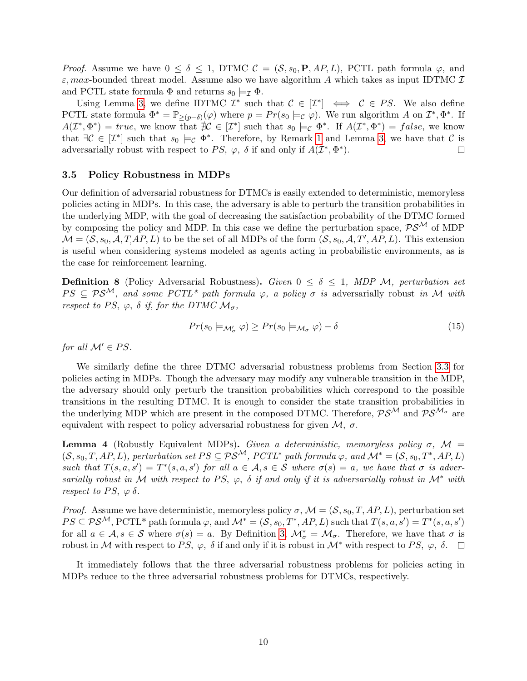*Proof.* Assume we have  $0 \le \delta \le 1$ , DTMC  $\mathcal{C} = (\mathcal{S}, s_0, \mathbf{P}, \mathcal{AP}, L)$ , PCTL path formula  $\varphi$ , and  $\varepsilon$ , max-bounded threat model. Assume also we have algorithm A which takes as input IDTMC  $\mathcal I$ and PCTL state formula  $\Phi$  and returns  $s_0 \models_{\mathcal{I}} \Phi$ .

Using Lemma [3,](#page-8-1) we define IDTMC  $\mathcal{I}^*$  such that  $\mathcal{C} \in [\mathcal{I}^*] \iff \mathcal{C} \in PS$ . We also define PCTL state formula  $\Phi^* = \mathbb{P}_{\geq (p-\delta)}(\varphi)$  where  $p = Pr(s_0 \models c \varphi)$ . We run algorithm A on  $\mathcal{I}^*, \Phi^*$ . If  $A(\mathcal{I}^*, \Phi^*) = true$ , we know that  $\mathcal{H} \in [\mathcal{I}^*]$  such that  $s_0 \models_{\mathcal{C}} \Phi^*$ . If  $A(\mathcal{I}^*, \Phi^*) = false$ , we know that  $\exists \mathcal{C} \in [\mathcal{I}^*]$  such that  $s_0 \models_{\mathcal{C}} \Phi^*$ . Therefore, by Remark [1](#page-5-1) and Lemma [3,](#page-8-1) we have that  $\mathcal{C}$  is adversarially robust with respect to PS,  $\varphi$ ,  $\delta$  if and only if  $A(\mathcal{I}^*, \Phi^*)$ .  $\Box$ 

### <span id="page-9-0"></span>3.5 Policy Robustness in MDPs

Our definition of adversarial robustness for DTMCs is easily extended to deterministic, memoryless policies acting in MDPs. In this case, the adversary is able to perturb the transition probabilities in the underlying MDP, with the goal of decreasing the satisfaction probability of the DTMC formed by composing the policy and MDP. In this case we define the perturbation space,  $\mathcal{PS}^{\mathcal{M}}$  of MDP  $\mathcal{M} = (\mathcal{S}, s_0, \mathcal{A}, T, AP, L)$  to be the set of all MDPs of the form  $(\mathcal{S}, s_0, \mathcal{A}, T', AP, L)$ . This extension is useful when considering systems modeled as agents acting in probabilistic environments, as is the case for reinforcement learning.

**Definition 8** (Policy Adversarial Robustness). Given  $0 \le \delta \le 1$ , MDP M, perturbation set  $PS \subseteq PS^{\mathcal{M}}$ , and some PCTL\* path formula  $\varphi$ , a policy  $\sigma$  is adversarially robust in M with respect to PS,  $\varphi$ ,  $\delta$  if, for the DTMC  $\mathcal{M}_{\sigma}$ ,

$$
Pr(s_0 \models_{\mathcal{M}'_{\sigma}} \varphi) \ge Pr(s_0 \models_{\mathcal{M}_{\sigma}} \varphi) - \delta
$$
\n(15)

for all  $\mathcal{M}' \in PS$ .

We similarly define the three DTMC adversarial robustness problems from Section [3.3](#page-7-3) for policies acting in MDPs. Though the adversary may modify any vulnerable transition in the MDP, the adversary should only perturb the transition probabilities which correspond to the possible transitions in the resulting DTMC. It is enough to consider the state transition probabilities in the underlying MDP which are present in the composed DTMC. Therefore,  $PS^{\mathcal{M}}$  and  $PS^{\mathcal{M}_{\sigma}}$  are equivalent with respect to policy adversarial robustness for given  $M$ ,  $\sigma$ .

**Lemma 4** (Robustly Equivalent MDPs). Given a deterministic, memoryless policy  $\sigma$ ,  $\mathcal{M}$  =  $(S, s_0, T, AP, L)$ , perturbation set  $PS \subseteq PS^{\mathcal{M}}$ , PCTL\* path formula  $\varphi$ , and  $\mathcal{M}^* = (S, s_0, T^*, AP, L)$ such that  $T(s, a, s') = T^*(s, a, s')$  for all  $a \in \mathcal{A}, s \in \mathcal{S}$  where  $\sigma(s) = a$ , we have that  $\sigma$  is adversarially robust in M with respect to PS,  $\varphi$ ,  $\delta$  if and only if it is adversarially robust in M<sup>\*</sup> with respect to PS,  $\varphi \delta$ .

*Proof.* Assume we have deterministic, memoryless policy  $\sigma$ ,  $\mathcal{M} = (\mathcal{S}, s_0, T, AP, L)$ , perturbation set  $PS \subseteq PS^{\mathcal{M}},$  PCTL\* path formula  $\varphi$ , and  $\mathcal{M}^* = (\mathcal{S}, s_0, T^*, AP, L)$  such that  $T(s, a, s') = T^*(s, a, s')$ for all  $a \in \mathcal{A}, s \in \mathcal{S}$  where  $\sigma(s) = a$ . By Definition [3,](#page-3-0)  $\mathcal{M}_{\sigma}^* = \mathcal{M}_{\sigma}$ . Therefore, we have that  $\sigma$  is robust in M with respect to PS,  $\varphi$ ,  $\delta$  if and only if it is robust in M<sup>\*</sup> with respect to PS,  $\varphi$ ,  $\delta$ .

It immediately follows that the three adversarial robustness problems for policies acting in MDPs reduce to the three adversarial robustness problems for DTMCs, respectively.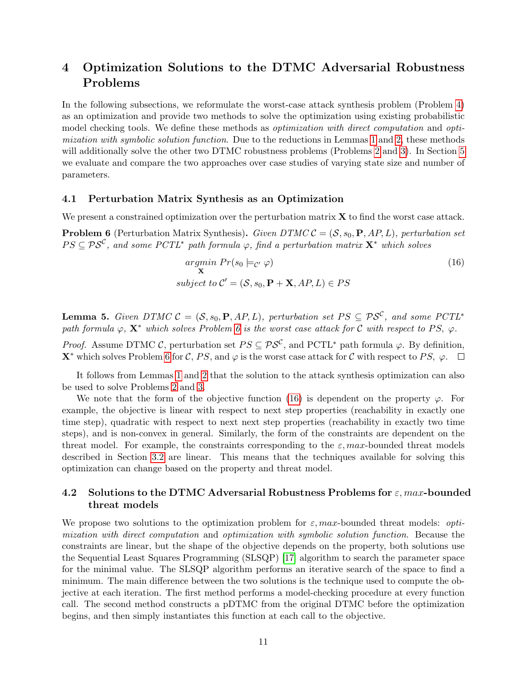# 4 Optimization Solutions to the DTMC Adversarial Robustness Problems

In the following subsections, we reformulate the worst-case attack synthesis problem (Problem [4\)](#page-7-2) as an optimization and provide two methods to solve the optimization using existing probabilistic model checking tools. We define these methods as *optimization with direct computation* and *opti*mization with symbolic solution function. Due to the reductions in Lemmas [1](#page-7-4) and [2,](#page-7-5) these methods will additionally solve the other two DTMC robustness problems (Problems [2](#page-7-0) and [3\)](#page-7-1). In Section [5](#page-11-0) we evaluate and compare the two approaches over case studies of varying state size and number of parameters.

### <span id="page-10-1"></span>4.1 Perturbation Matrix Synthesis as an Optimization

We present a constrained optimization over the perturbation matrix  $X$  to find the worst case attack.

**Problem 6** (Perturbation Matrix Synthesis). Given DTMC  $C = (S, s_0, P, AP, L)$ , perturbation set  $PS \subseteq \mathcal{PS}^{\mathcal C}$ , and some PCTL<sup>\*</sup> path formula  $\varphi$ , find a perturbation matrix  $\mathbf{X}^*$  which solves

<span id="page-10-0"></span>
$$
\underset{\mathbf{S}}{argmin} \ Pr(s_0 \models_{\mathcal{C}'} \varphi) \tag{16}
$$
\n
$$
subject \ to \ \mathcal{C}' = (\mathcal{S}, s_0, \mathbf{P} + \mathbf{X}, AP, L) \in PS
$$

**Lemma 5.** Given DTMC  $C = (S, s_0, P, AP, L)$ , perturbation set  $PS \subseteq PS^{\mathcal{C}}$ , and some PCTL<sup>\*</sup> path formula  $\varphi$ ,  $\mathbf{X}^*$  which solves Problem [6](#page-10-0) is the worst case attack for C with respect to PS,  $\varphi$ .

*Proof.* Assume DTMC C, perturbation set  $PS \subseteq PS^{\mathcal{C}}$ , and PCTL<sup>\*</sup> path formula  $\varphi$ . By definition, **X**<sup>∗</sup> which solves Problem [6](#page-10-0) for C, PS, and  $\varphi$  is the worst case attack for C with respect to PS,  $\varphi$ .  $\Box$ 

It follows from Lemmas [1](#page-7-4) and [2](#page-7-5) that the solution to the attack synthesis optimization can also be used to solve Problems [2](#page-7-0) and [3.](#page-7-1)

We note that the form of the objective function [\(16\)](#page-10-0) is dependent on the property  $\varphi$ . For example, the objective is linear with respect to next step properties (reachability in exactly one time step), quadratic with respect to next next step properties (reachability in exactly two time steps), and is non-convex in general. Similarly, the form of the constraints are dependent on the threat model. For example, the constraints corresponding to the  $\varepsilon$ , max-bounded threat models described in Section [3.2](#page-5-2) are linear. This means that the techniques available for solving this optimization can change based on the property and threat model.

### <span id="page-10-2"></span>4.2 Solutions to the DTMC Adversarial Robustness Problems for  $\varepsilon$ , max-bounded threat models

We propose two solutions to the optimization problem for  $\varepsilon$ , max-bounded threat models: *opti*mization with direct computation and optimization with symbolic solution function. Because the constraints are linear, but the shape of the objective depends on the property, both solutions use the Sequential Least Squares Programming (SLSQP) [\[17\]](#page-21-0) algorithm to search the parameter space for the minimal value. The SLSQP algorithm performs an iterative search of the space to find a minimum. The main difference between the two solutions is the technique used to compute the objective at each iteration. The first method performs a model-checking procedure at every function call. The second method constructs a pDTMC from the original DTMC before the optimization begins, and then simply instantiates this function at each call to the objective.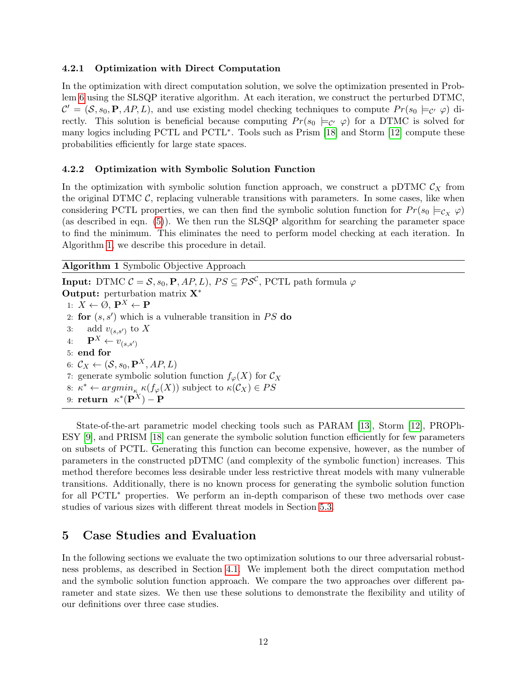### 4.2.1 Optimization with Direct Computation

In the optimization with direct computation solution, we solve the optimization presented in Problem [6](#page-10-0) using the SLSQP iterative algorithm. At each iteration, we construct the perturbed DTMC,  $\mathcal{C}' = (\mathcal{S}, s_0, \mathbf{P}, AP, L)$ , and use existing model checking techniques to compute  $Pr(s_0 \models_{\mathcal{C}'} \varphi)$  directly. This solution is beneficial because computing  $Pr(s_0 \models_{\mathcal{C}} \varphi)$  for a DTMC is solved for many logics including PCTL and PCTL<sup>\*</sup>. Tools such as Prism [\[18\]](#page-21-1) and Storm [\[12\]](#page-20-5) compute these probabilities efficiently for large state spaces.

### 4.2.2 Optimization with Symbolic Solution Function

In the optimization with symbolic solution function approach, we construct a pDTMC  $C_X$  from the original DTMC  $C$ , replacing vulnerable transitions with parameters. In some cases, like when considering PCTL properties, we can then find the symbolic solution function for  $Pr(s_0 \models c_v \varphi)$ (as described in eqn. [\(5\)](#page-4-0)). We then run the SLSQP algorithm for searching the parameter space to find the minimum. This eliminates the need to perform model checking at each iteration. In Algorithm [1,](#page-11-1) we describe this procedure in detail.

<span id="page-11-1"></span>Algorithm 1 Symbolic Objective Approach

 $\textbf{Input:} \text{ DTMC } \mathcal{C} = \mathcal{S}, s_0, \textbf{P}, \mathit{AP}, \mathit{L}), \, \mathit{PS} \subseteq \mathcal{PS}^{\mathcal{C}}, \, \text{PCTL path formula} \; \varphi$ Output: perturbation matrix X<sup>∗</sup> 1:  $X \leftarrow \emptyset$ ,  $\mathbf{P}^X \leftarrow \mathbf{P}$ 2: for  $(s, s')$  which is a vulnerable transition in PS do 3: add  $v_{(s,s')}$  to X 4:  $\mathbf{P}^X \leftarrow v_{(s,s')}$ 5: end for 6:  $\mathcal{C}_X \leftarrow (\mathcal{S}, s_0, \mathbf{P}^X, AP, L)$ 7: generate symbolic solution function  $f_{\varphi}(X)$  for  $\mathcal{C}_X$ 8:  $\kappa^* \leftarrow argmin_{\kappa} \kappa(f_{\varphi}(X))$  subject to  $\kappa(\mathcal{C}_X) \in PS$ 9:  $\mathbf{return} \ \ \kappa^*(\mathbf{P}^X) - \mathbf{P}$ 

State-of-the-art parametric model checking tools such as PARAM [\[13\]](#page-20-6), Storm [\[12\]](#page-20-5), PROPh-ESY [\[9\]](#page-20-2), and PRISM [\[18\]](#page-21-1) can generate the symbolic solution function efficiently for few parameters on subsets of PCTL. Generating this function can become expensive, however, as the number of parameters in the constructed pDTMC (and complexity of the symbolic function) increases. This method therefore becomes less desirable under less restrictive threat models with many vulnerable transitions. Additionally, there is no known process for generating the symbolic solution function for all PCTL<sup>∗</sup> properties. We perform an in-depth comparison of these two methods over case studies of various sizes with different threat models in Section [5.3.](#page-13-0)

### <span id="page-11-0"></span>5 Case Studies and Evaluation

In the following sections we evaluate the two optimization solutions to our three adversarial robustness problems, as described in Section [4.1.](#page-10-1) We implement both the direct computation method and the symbolic solution function approach. We compare the two approaches over different parameter and state sizes. We then use these solutions to demonstrate the flexibility and utility of our definitions over three case studies.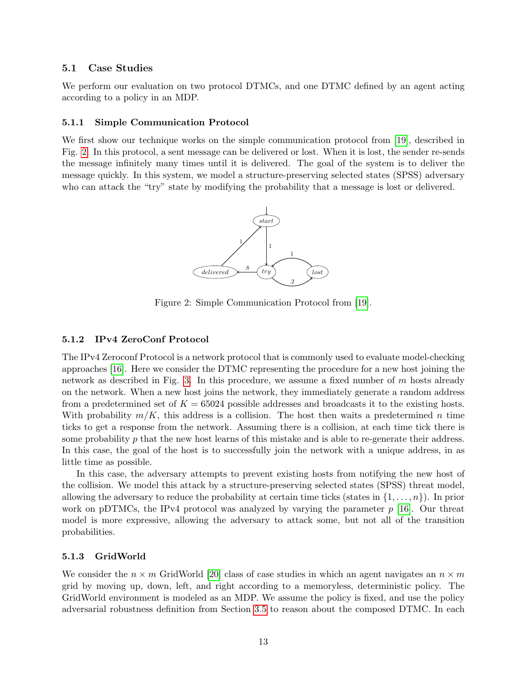### 5.1 Case Studies

We perform our evaluation on two protocol DTMCs, and one DTMC defined by an agent acting according to a policy in an MDP.

### 5.1.1 Simple Communication Protocol

<span id="page-12-0"></span>We first show our technique works on the simple communication protocol from [\[19\]](#page-21-2), described in Fig. [2.](#page-12-0) In this protocol, a sent message can be delivered or lost. When it is lost, the sender re-sends the message infinitely many times until it is delivered. The goal of the system is to deliver the message quickly. In this system, we model a structure-preserving selected states (SPSS) adversary who can attack the "try" state by modifying the probability that a message is lost or delivered.



Figure 2: Simple Communication Protocol from [\[19\]](#page-21-2).

### 5.1.2 IPv4 ZeroConf Protocol

The IPv4 Zeroconf Protocol is a network protocol that is commonly used to evaluate model-checking approaches [\[16\]](#page-20-9). Here we consider the DTMC representing the procedure for a new host joining the network as described in Fig. [3.](#page-13-1) In this procedure, we assume a fixed number of  $m$  hosts already on the network. When a new host joins the network, they immediately generate a random address from a predetermined set of  $K = 65024$  possible addresses and broadcasts it to the existing hosts. With probability  $m/K$ , this address is a collision. The host then waits a predetermined n time ticks to get a response from the network. Assuming there is a collision, at each time tick there is some probability  $p$  that the new host learns of this mistake and is able to re-generate their address. In this case, the goal of the host is to successfully join the network with a unique address, in as little time as possible.

In this case, the adversary attempts to prevent existing hosts from notifying the new host of the collision. We model this attack by a structure-preserving selected states (SPSS) threat model, allowing the adversary to reduce the probability at certain time ticks (states in  $\{1, \ldots, n\}$ ). In prior work on pDTMCs, the IPv4 protocol was analyzed by varying the parameter  $p$  [\[16\]](#page-20-9). Our threat model is more expressive, allowing the adversary to attack some, but not all of the transition probabilities.

#### 5.1.3 GridWorld

We consider the  $n \times m$  GridWorld [\[20\]](#page-21-3) class of case studies in which an agent navigates an  $n \times m$ grid by moving up, down, left, and right according to a memoryless, deterministic policy. The GridWorld environment is modeled as an MDP. We assume the policy is fixed, and use the policy adversarial robustness definition from Section [3.5](#page-9-0) to reason about the composed DTMC. In each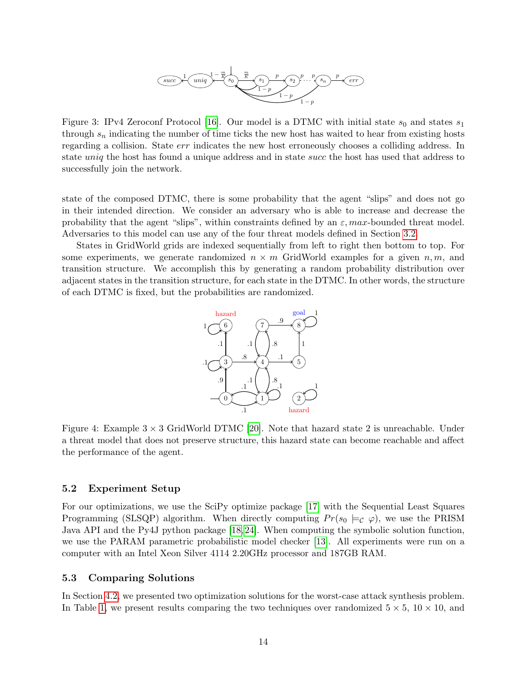<span id="page-13-1"></span>

Figure 3: IPv4 Zeroconf Protocol [\[16\]](#page-20-9). Our model is a DTMC with initial state  $s_0$  and states  $s_1$ through  $s_n$  indicating the number of time ticks the new host has waited to hear from existing hosts regarding a collision. State err indicates the new host erroneously chooses a colliding address. In state uniq the host has found a unique address and in state succ the host has used that address to successfully join the network.

state of the composed DTMC, there is some probability that the agent "slips" and does not go in their intended direction. We consider an adversary who is able to increase and decrease the probability that the agent "slips", within constraints defined by an  $\varepsilon$ , max-bounded threat model. Adversaries to this model can use any of the four threat models defined in Section [3.2.](#page-5-2)

<span id="page-13-2"></span>States in GridWorld grids are indexed sequentially from left to right then bottom to top. For some experiments, we generate randomized  $n \times m$  GridWorld examples for a given  $n, m$ , and transition structure. We accomplish this by generating a random probability distribution over adjacent states in the transition structure, for each state in the DTMC. In other words, the structure of each DTMC is fixed, but the probabilities are randomized.



Figure 4: Example  $3 \times 3$  GridWorld DTMC [\[20\]](#page-21-3). Note that hazard state 2 is unreachable. Under a threat model that does not preserve structure, this hazard state can become reachable and affect the performance of the agent.

### 5.2 Experiment Setup

For our optimizations, we use the SciPy optimize package [\[17\]](#page-21-0) with the Sequential Least Squares Programming (SLSQP) algorithm. When directly computing  $Pr(s_0 \models c \varphi)$ , we use the PRISM Java API and the Py4J python package [\[18,](#page-21-1) [24\]](#page-21-7). When computing the symbolic solution function, we use the PARAM parametric probabilistic model checker [\[13\]](#page-20-6). All experiments were run on a computer with an Intel Xeon Silver 4114 2.20GHz processor and 187GB RAM.

### <span id="page-13-0"></span>5.3 Comparing Solutions

In Section [4.2,](#page-10-2) we presented two optimization solutions for the worst-case attack synthesis problem. In Table [1,](#page-14-0) we present results comparing the two techniques over randomized  $5 \times 5$ ,  $10 \times 10$ , and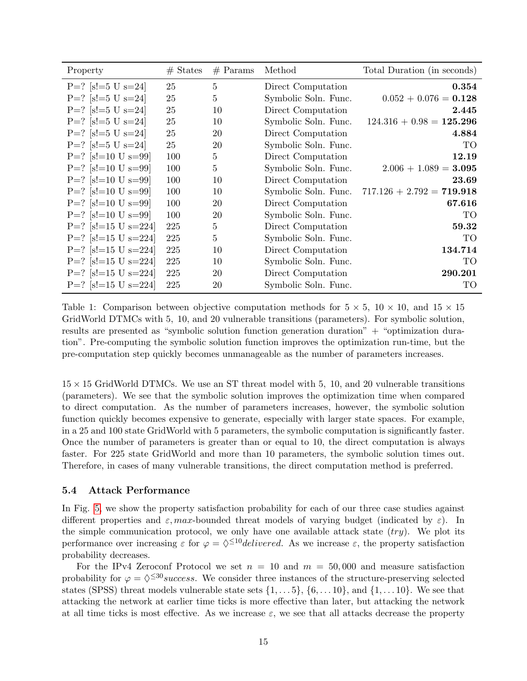<span id="page-14-0"></span>

| Property              | $#$ States | $#$ Params     | Method               | Total Duration (in seconds) |
|-----------------------|------------|----------------|----------------------|-----------------------------|
| $P=?$ [s!=5 U s=24]   | 25         | $\overline{5}$ | Direct Computation   | 0.354                       |
| $P=?$ [s!=5 U s=24]   | 25         | 5              | Symbolic Soln. Func. | $0.052 + 0.076 = 0.128$     |
| $P=?$ [s!=5 U s=24]   | 25         | 10             | Direct Computation   | 2.445                       |
| $P=?$ [s!=5 U s=24]   | 25         | 10             | Symbolic Soln. Func. | $124.316 + 0.98 = 125.296$  |
| $P=?$ [s!=5 U s=24]   | 25         | 20             | Direct Computation   | 4.884                       |
| $P=?$ [s!=5 U s=24]   | 25         | 20             | Symbolic Soln. Func. | TO                          |
| $P=?$ [s!=10 U s=99]  | 100        | $\overline{5}$ | Direct Computation   | 12.19                       |
| $P=?$ [s!=10 U s=99]  | 100        | $\overline{5}$ | Symbolic Soln. Func. | $2.006 + 1.089 = 3.095$     |
| $P=?$ [s!=10 U s=99]  | 100        | 10             | Direct Computation   | 23.69                       |
| $P=?$ [s!=10 U s=99]  | 100        | 10             | Symbolic Soln. Func. | $717.126 + 2.792 = 719.918$ |
| $P=?$ [s!=10 U s=99]  | 100        | 20             | Direct Computation   | 67.616                      |
| $P=?$ [s!=10 U s=99]  | 100        | 20             | Symbolic Soln. Func. | TO                          |
| $P=?$ [s!=15 U s=224] | 225        | $\overline{5}$ | Direct Computation   | 59.32                       |
| $P=?$ [s!=15 U s=224] | 225        | $\overline{5}$ | Symbolic Soln. Func. | TO                          |
| $P=?$ [s!=15 U s=224] | 225        | 10             | Direct Computation   | 134.714                     |
| $P=?$ [s!=15 U s=224] | 225        | 10             | Symbolic Soln. Func. | TO                          |
| $P=?$ [s!=15 U s=224] | 225        | 20             | Direct Computation   | 290.201                     |
| $P=?$ [s!=15 U s=224] | 225        | 20             | Symbolic Soln. Func. | TO                          |

Table 1: Comparison between objective computation methods for  $5 \times 5$ ,  $10 \times 10$ , and  $15 \times 15$ GridWorld DTMCs with 5, 10, and 20 vulnerable transitions (parameters). For symbolic solution, results are presented as "symbolic solution function generation duration" + "optimization duration". Pre-computing the symbolic solution function improves the optimization run-time, but the pre-computation step quickly becomes unmanageable as the number of parameters increases.

 $15 \times 15$  GridWorld DTMCs. We use an ST threat model with 5, 10, and 20 vulnerable transitions (parameters). We see that the symbolic solution improves the optimization time when compared to direct computation. As the number of parameters increases, however, the symbolic solution function quickly becomes expensive to generate, especially with larger state spaces. For example, in a 25 and 100 state GridWorld with 5 parameters, the symbolic computation is significantly faster. Once the number of parameters is greater than or equal to 10, the direct computation is always faster. For 225 state GridWorld and more than 10 parameters, the symbolic solution times out. Therefore, in cases of many vulnerable transitions, the direct computation method is preferred.

### 5.4 Attack Performance

In Fig. [5,](#page-15-0) we show the property satisfaction probability for each of our three case studies against different properties and  $\varepsilon$ , max-bounded threat models of varying budget (indicated by  $\varepsilon$ ). In the simple communication protocol, we only have one available attack state  $(try)$ . We plot its performance over increasing  $\varepsilon$  for  $\varphi = \sqrt{\varepsilon}^{10}$ delivered. As we increase  $\varepsilon$ , the property satisfaction probability decreases.

For the IPv4 Zeroconf Protocol we set  $n = 10$  and  $m = 50,000$  and measure satisfaction probability for  $\varphi = \diamond^{\leq 30}$ success. We consider three instances of the structure-preserving selected states (SPSS) threat models vulnerable state sets  $\{1, \ldots 5\}$ ,  $\{6, \ldots 10\}$ , and  $\{1, \ldots 10\}$ . We see that attacking the network at earlier time ticks is more effective than later, but attacking the network at all time ticks is most effective. As we increase  $\varepsilon$ , we see that all attacks decrease the property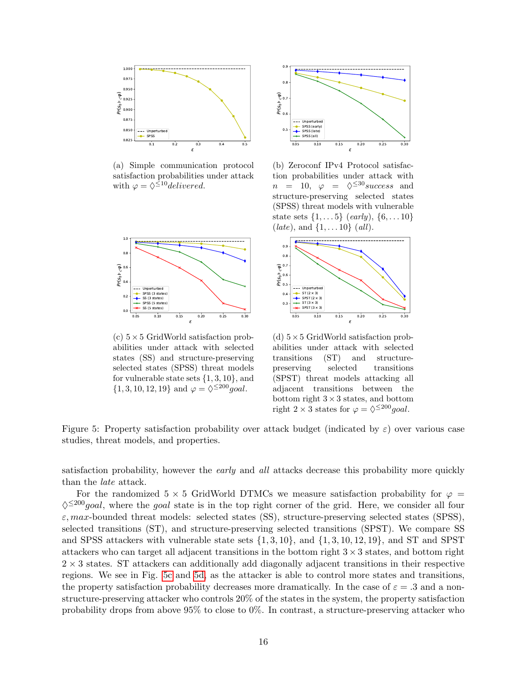<span id="page-15-0"></span>

(a) Simple communication protocol satisfaction probabilities under attack with  $\varphi = \Diamond^{\leq 10}$ delivered.



(c)  $5\times 5$  GridWorld satisfaction probabilities under attack with selected states (SS) and structure-preserving selected states (SPSS) threat models for vulnerable state sets  $\{1, 3, 10\}$ , and  $\{1, 3, 10, 12, 19\}$  and  $\varphi = \sqrt[5]{\leq} 200 \text{ goal}.$ 



(b) Zeroconf IPv4 Protocol satisfaction probabilities under attack with  $n = 10, \varphi = \diamond^{\leq 30} \text{success}$  and structure-preserving selected states (SPSS) threat models with vulnerable state sets  $\{1, \ldots 5\}$  (early),  $\{6, \ldots 10\}$  $(late)$ , and  $\{1, \ldots 10\}$  (all).



(d)  $5\times5$  GridWorld satisfaction probabilities under attack with selected transitions (ST) and structurepreserving selected transitions (SPST) threat models attacking all adjacent transitions between the bottom right  $3 \times 3$  states, and bottom right  $2 \times 3$  states for  $\varphi = \diamond^{\leq 200} goal$ .

Figure 5: Property satisfaction probability over attack budget (indicated by  $\varepsilon$ ) over various case studies, threat models, and properties.

satisfaction probability, however the *early* and *all* attacks decrease this probability more quickly than the late attack.

For the randomized 5  $\times$  5 GridWorld DTMCs we measure satisfaction probability for  $\varphi$  =  $\Diamond^{\leq 200}$ goal, where the goal state is in the top right corner of the grid. Here, we consider all four  $\varepsilon$ , max-bounded threat models: selected states (SS), structure-preserving selected states (SPSS), selected transitions (ST), and structure-preserving selected transitions (SPST). We compare SS and SPSS attackers with vulnerable state sets  $\{1, 3, 10\}$ , and  $\{1, 3, 10, 12, 19\}$ , and ST and SPST attackers who can target all adjacent transitions in the bottom right  $3 \times 3$  states, and bottom right  $2 \times 3$  states. ST attackers can additionally add diagonally adjacent transitions in their respective regions. We see in Fig. [5c](#page-15-0) and [5d,](#page-15-0) as the attacker is able to control more states and transitions, the property satisfaction probability decreases more dramatically. In the case of  $\varepsilon = 0.3$  and a nonstructure-preserving attacker who controls 20% of the states in the system, the property satisfaction probability drops from above 95% to close to 0%. In contrast, a structure-preserving attacker who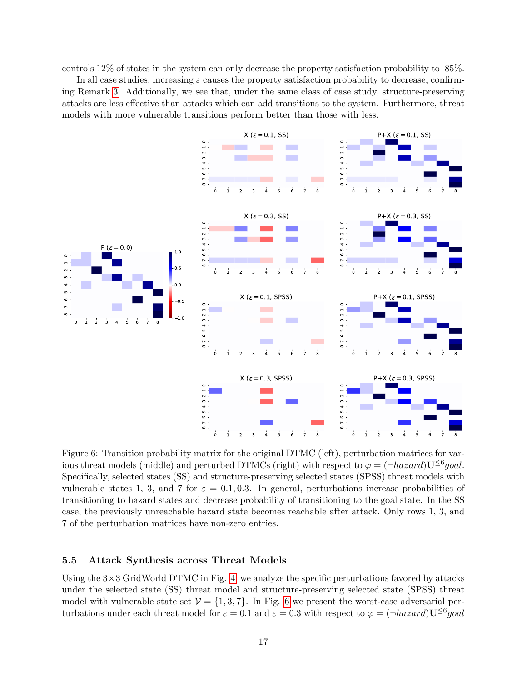controls 12% of states in the system can only decrease the property satisfaction probability to 85%.

In all case studies, increasing  $\varepsilon$  causes the property satisfaction probability to decrease, confirming Remark [3.](#page-7-6) Additionally, we see that, under the same class of case study, structure-preserving attacks are less effective than attacks which can add transitions to the system. Furthermore, threat models with more vulnerable transitions perform better than those with less.

<span id="page-16-0"></span>

Figure 6: Transition probability matrix for the original DTMC (left), perturbation matrices for various threat models (middle) and perturbed DTMCs (right) with respect to  $\varphi = (\neg \text{hazard}) \mathbf{U}^{\leq 6} goal$ . Specifically, selected states (SS) and structure-preserving selected states (SPSS) threat models with vulnerable states 1, 3, and 7 for  $\varepsilon = 0.1, 0.3$ . In general, perturbations increase probabilities of transitioning to hazard states and decrease probability of transitioning to the goal state. In the SS case, the previously unreachable hazard state becomes reachable after attack. Only rows 1, 3, and 7 of the perturbation matrices have non-zero entries.

### 5.5 Attack Synthesis across Threat Models

Using the  $3\times3$  GridWorld DTMC in Fig. [4,](#page-13-2) we analyze the specific perturbations favored by attacks under the selected state (SS) threat model and structure-preserving selected state (SPSS) threat model with vulnerable state set  $\mathcal{V} = \{1, 3, 7\}$ . In Fig. [6](#page-16-0) we present the worst-case adversarial perturbations under each threat model for  $\varepsilon = 0.1$  and  $\varepsilon = 0.3$  with respect to  $\varphi = (\neg \text{hazard}) \mathbf{U}^{\leq 6} \text{goal}$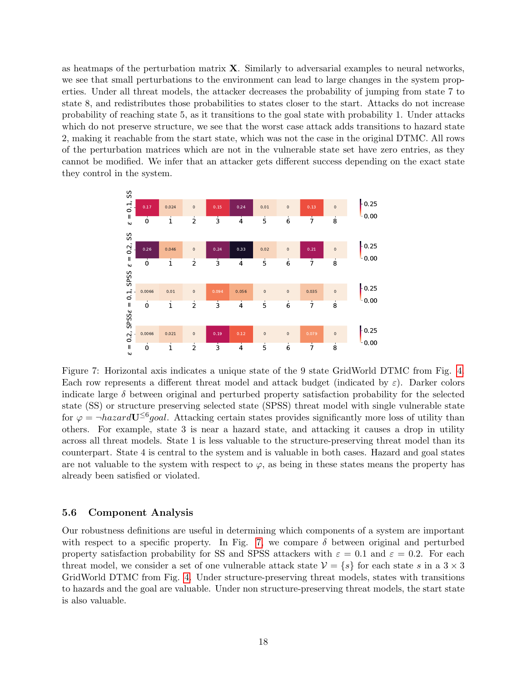as heatmaps of the perturbation matrix X. Similarly to adversarial examples to neural networks, we see that small perturbations to the environment can lead to large changes in the system properties. Under all threat models, the attacker decreases the probability of jumping from state 7 to state 8, and redistributes those probabilities to states closer to the start. Attacks do not increase probability of reaching state 5, as it transitions to the goal state with probability 1. Under attacks which do not preserve structure, we see that the worst case attack adds transitions to hazard state 2, making it reachable from the start state, which was not the case in the original DTMC. All rows of the perturbation matrices which are not in the vulnerable state set have zero entries, as they cannot be modified. We infer that an attacker gets different success depending on the exact state they control in the system.

<span id="page-17-0"></span>

Figure 7: Horizontal axis indicates a unique state of the 9 state GridWorld DTMC from Fig. [4.](#page-13-2) Each row represents a different threat model and attack budget (indicated by  $\varepsilon$ ). Darker colors indicate large  $\delta$  between original and perturbed property satisfaction probability for the selected state (SS) or structure preserving selected state (SPSS) threat model with single vulnerable state for  $\varphi = \neg \text{hazardU}^{\leq 6} \text{goal}$ . Attacking certain states provides significantly more loss of utility than others. For example, state 3 is near a hazard state, and attacking it causes a drop in utility across all threat models. State 1 is less valuable to the structure-preserving threat model than its counterpart. State 4 is central to the system and is valuable in both cases. Hazard and goal states are not valuable to the system with respect to  $\varphi$ , as being in these states means the property has already been satisfied or violated.

### 5.6 Component Analysis

Our robustness definitions are useful in determining which components of a system are important with respect to a specific property. In Fig. [7,](#page-17-0) we compare  $\delta$  between original and perturbed property satisfaction probability for SS and SPSS attackers with  $\varepsilon = 0.1$  and  $\varepsilon = 0.2$ . For each threat model, we consider a set of one vulnerable attack state  $V = \{s\}$  for each state s in a 3 × 3 GridWorld DTMC from Fig. [4.](#page-13-2) Under structure-preserving threat models, states with transitions to hazards and the goal are valuable. Under non structure-preserving threat models, the start state is also valuable.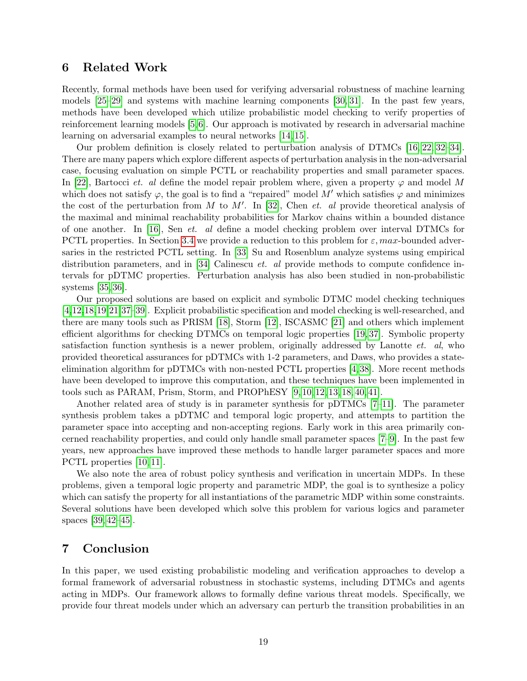### 6 Related Work

Recently, formal methods have been used for verifying adversarial robustness of machine learning models [\[25](#page-21-8)[–29\]](#page-21-9) and systems with machine learning components [\[30,](#page-22-0) [31\]](#page-22-1). In the past few years, methods have been developed which utilize probabilistic model checking to verify properties of reinforcement learning models [\[5,](#page-19-2)[6\]](#page-20-0). Our approach is motivated by research in adversarial machine learning on adversarial examples to neural networks [\[14,](#page-20-7) [15\]](#page-20-8).

Our problem definition is closely related to perturbation analysis of DTMCs [\[16,](#page-20-9) [22,](#page-21-5) [32–](#page-22-2)[34\]](#page-22-3). There are many papers which explore different aspects of perturbation analysis in the non-adversarial case, focusing evaluation on simple PCTL or reachability properties and small parameter spaces. In [\[22\]](#page-21-5), Bartocci et. al define the model repair problem where, given a property  $\varphi$  and model M which does not satisfy  $\varphi$ , the goal is to find a "repaired" model M' which satisfies  $\varphi$  and minimizes the cost of the perturbation from M to M'. In [\[32\]](#page-22-2), Chen *et. al* provide theoretical analysis of the maximal and minimal reachability probabilities for Markov chains within a bounded distance of one another. In [\[16\]](#page-20-9), Sen et. al define a model checking problem over interval DTMCs for PCTL properties. In Section [3.4](#page-8-2) we provide a reduction to this problem for  $\varepsilon$ , max-bounded adversaries in the restricted PCTL setting. In [\[33\]](#page-22-4) Su and Rosenblum analyze systems using empirical distribution parameters, and in [\[34\]](#page-22-3) Calinescu *et. al* provide methods to compute confidence intervals for pDTMC properties. Perturbation analysis has also been studied in non-probabilistic systems [\[35,](#page-22-5) [36\]](#page-22-6).

Our proposed solutions are based on explicit and symbolic DTMC model checking techniques [\[4,](#page-19-1)[12,](#page-20-5)[18,](#page-21-1)[19,](#page-21-2)[21,](#page-21-4)[37](#page-22-7)[–39\]](#page-22-8). Explicit probabilistic specification and model checking is well-researched, and there are many tools such as PRISM [\[18\]](#page-21-1), Storm [\[12\]](#page-20-5), ISCASMC [\[21\]](#page-21-4) and others which implement efficient algorithms for checking DTMCs on temporal logic properties [\[19,](#page-21-2) [37\]](#page-22-7). Symbolic property satisfaction function synthesis is a newer problem, originally addressed by Lanotte  $et.$  al, who provided theoretical assurances for pDTMCs with 1-2 parameters, and Daws, who provides a stateelimination algorithm for pDTMCs with non-nested PCTL properties [\[4,](#page-19-1)[38\]](#page-22-9). More recent methods have been developed to improve this computation, and these techniques have been implemented in tools such as PARAM, Prism, Storm, and PROPhESY [\[9,](#page-20-2) [10,](#page-20-3) [12,](#page-20-5) [13,](#page-20-6) [18,](#page-21-1) [40,](#page-23-0) [41\]](#page-23-1).

Another related area of study is in parameter synthesis for pDTMCs [\[7–](#page-20-1)[11\]](#page-20-4). The parameter synthesis problem takes a pDTMC and temporal logic property, and attempts to partition the parameter space into accepting and non-accepting regions. Early work in this area primarily concerned reachability properties, and could only handle small parameter spaces [\[7–](#page-20-1)[9\]](#page-20-2). In the past few years, new approaches have improved these methods to handle larger parameter spaces and more PCTL properties [\[10,](#page-20-3) [11\]](#page-20-4).

We also note the area of robust policy synthesis and verification in uncertain MDPs. In these problems, given a temporal logic property and parametric MDP, the goal is to synthesize a policy which can satisfy the property for all instantiations of the parametric MDP within some constraints. Several solutions have been developed which solve this problem for various logics and parameter spaces [\[39,](#page-22-8) [42–](#page-23-2)[45\]](#page-23-3).

### 7 Conclusion

In this paper, we used existing probabilistic modeling and verification approaches to develop a formal framework of adversarial robustness in stochastic systems, including DTMCs and agents acting in MDPs. Our framework allows to formally define various threat models. Specifically, we provide four threat models under which an adversary can perturb the transition probabilities in an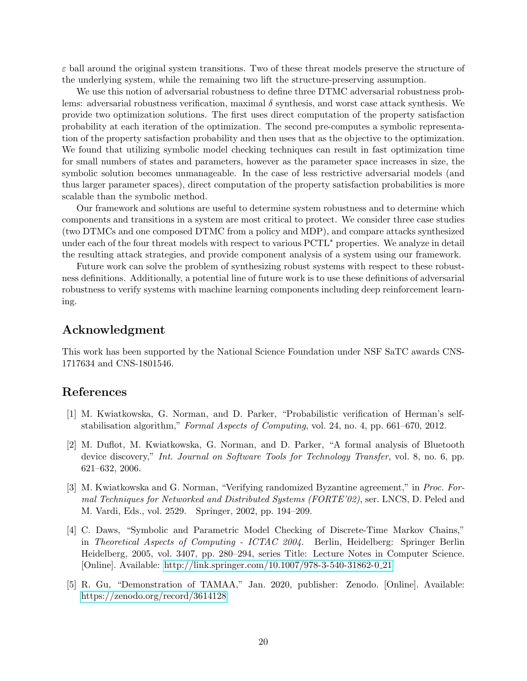$\varepsilon$  ball around the original system transitions. Two of these threat models preserve the structure of the underlying system, while the remaining two lift the structure-preserving assumption.

We use this notion of adversarial robustness to define three DTMC adversarial robustness problems: adversarial robustness verification, maximal  $\delta$  synthesis, and worst case attack synthesis. We provide two optimization solutions. The first uses direct computation of the property satisfaction probability at each iteration of the optimization. The second pre-computes a symbolic representation of the property satisfaction probability and then uses that as the objective to the optimization. We found that utilizing symbolic model checking techniques can result in fast optimization time for small numbers of states and parameters, however as the parameter space increases in size, the symbolic solution becomes unmanageable. In the case of less restrictive adversarial models (and thus larger parameter spaces), direct computation of the property satisfaction probabilities is more scalable than the symbolic method.

Our framework and solutions are useful to determine system robustness and to determine which components and transitions in a system are most critical to protect. We consider three case studies (two DTMCs and one composed DTMC from a policy and MDP), and compare attacks synthesized under each of the four threat models with respect to various PCTL<sup>∗</sup> properties. We analyze in detail the resulting attack strategies, and provide component analysis of a system using our framework.

Future work can solve the problem of synthesizing robust systems with respect to these robustness definitions. Additionally, a potential line of future work is to use these definitions of adversarial robustness to verify systems with machine learning components including deep reinforcement learning.

### Acknowledgment

This work has been supported by the National Science Foundation under NSF SaTC awards CNS-1717634 and CNS-1801546.

## References

- <span id="page-19-0"></span>[1] M. Kwiatkowska, G. Norman, and D. Parker, "Probabilistic verification of Herman's selfstabilisation algorithm," Formal Aspects of Computing, vol. 24, no. 4, pp. 661–670, 2012.
- [2] M. Duflot, M. Kwiatkowska, G. Norman, and D. Parker, "A formal analysis of Bluetooth device discovery," Int. Journal on Software Tools for Technology Transfer, vol. 8, no. 6, pp. 621–632, 2006.
- [3] M. Kwiatkowska and G. Norman, "Verifying randomized Byzantine agreement," in Proc. Formal Techniques for Networked and Distributed Systems (FORTE'02), ser. LNCS, D. Peled and M. Vardi, Eds., vol. 2529. Springer, 2002, pp. 194–209.
- <span id="page-19-1"></span>[4] C. Daws, "Symbolic and Parametric Model Checking of Discrete-Time Markov Chains," in Theoretical Aspects of Computing - ICTAC 2004. Berlin, Heidelberg: Springer Berlin Heidelberg, 2005, vol. 3407, pp. 280–294, series Title: Lecture Notes in Computer Science. [Online]. Available: [http://link.springer.com/10.1007/978-3-540-31862-0](http://link.springer.com/10.1007/978-3-540-31862-0_21) 21
- <span id="page-19-2"></span>[5] R. Gu, "Demonstration of TAMAA," Jan. 2020, publisher: Zenodo. [Online]. Available: <https://zenodo.org/record/3614128>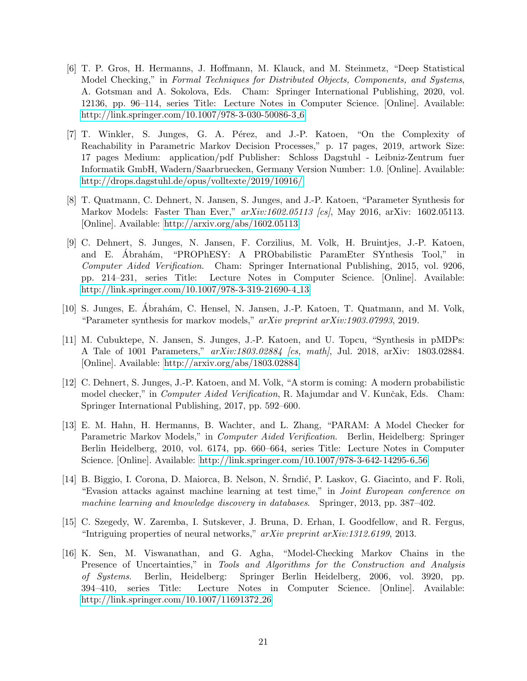- <span id="page-20-0"></span>[6] T. P. Gros, H. Hermanns, J. Hoffmann, M. Klauck, and M. Steinmetz, "Deep Statistical Model Checking," in Formal Techniques for Distributed Objects, Components, and Systems, A. Gotsman and A. Sokolova, Eds. Cham: Springer International Publishing, 2020, vol. 12136, pp. 96–114, series Title: Lecture Notes in Computer Science. [Online]. Available: [http://link.springer.com/10.1007/978-3-030-50086-3](http://link.springer.com/10.1007/978-3-030-50086-3_6) 6
- <span id="page-20-1"></span>[7] T. Winkler, S. Junges, G. A. Pérez, and J.-P. Katoen, "On the Complexity of Reachability in Parametric Markov Decision Processes," p. 17 pages, 2019, artwork Size: 17 pages Medium: application/pdf Publisher: Schloss Dagstuhl - Leibniz-Zentrum fuer Informatik GmbH, Wadern/Saarbruecken, Germany Version Number: 1.0. [Online]. Available: <http://drops.dagstuhl.de/opus/volltexte/2019/10916/>
- [8] T. Quatmann, C. Dehnert, N. Jansen, S. Junges, and J.-P. Katoen, "Parameter Synthesis for Markov Models: Faster Than Ever,"  $arXiv:1602.05113$  [cs], May 2016, arXiv: 1602.05113. [Online]. Available:<http://arxiv.org/abs/1602.05113>
- <span id="page-20-2"></span>[9] C. Dehnert, S. Junges, N. Jansen, F. Corzilius, M. Volk, H. Bruintjes, J.-P. Katoen, and E. Abrahám, "PROPhESY: A PRObabilistic ParamEter SYnthesis Tool," in Computer Aided Verification. Cham: Springer International Publishing, 2015, vol. 9206, pp. 214–231, series Title: Lecture Notes in Computer Science. [Online]. Available: [http://link.springer.com/10.1007/978-3-319-21690-4](http://link.springer.com/10.1007/978-3-319-21690-4_13) 13
- <span id="page-20-3"></span>[10] S. Junges, E. Abrahám, C. Hensel, N. Jansen, J.-P. Katoen, T. Quatmann, and M. Volk, "Parameter synthesis for markov models," arXiv preprint arXiv:1903.07993, 2019.
- <span id="page-20-4"></span>[11] M. Cubuktepe, N. Jansen, S. Junges, J.-P. Katoen, and U. Topcu, "Synthesis in pMDPs: A Tale of 1001 Parameters,"  $arXiv:1803.02884$  [cs, math], Jul. 2018, arXiv: 1803.02884. [Online]. Available:<http://arxiv.org/abs/1803.02884>
- <span id="page-20-5"></span>[12] C. Dehnert, S. Junges, J.-P. Katoen, and M. Volk, "A storm is coming: A modern probabilistic model checker," in *Computer Aided Verification*, R. Majumdar and V. Kunčak, Eds. Cham: Springer International Publishing, 2017, pp. 592–600.
- <span id="page-20-6"></span>[13] E. M. Hahn, H. Hermanns, B. Wachter, and L. Zhang, "PARAM: A Model Checker for Parametric Markov Models," in Computer Aided Verification. Berlin, Heidelberg: Springer Berlin Heidelberg, 2010, vol. 6174, pp. 660–664, series Title: Lecture Notes in Computer Science. [Online]. Available: [http://link.springer.com/10.1007/978-3-642-14295-6](http://link.springer.com/10.1007/978-3-642-14295-6_56) 56
- <span id="page-20-7"></span>[14] B. Biggio, I. Corona, D. Maiorca, B. Nelson, N. Stridić, P. Laskov, G. Giacinto, and F. Roli, "Evasion attacks against machine learning at test time," in Joint European conference on machine learning and knowledge discovery in databases. Springer, 2013, pp. 387–402.
- <span id="page-20-8"></span>[15] C. Szegedy, W. Zaremba, I. Sutskever, J. Bruna, D. Erhan, I. Goodfellow, and R. Fergus, "Intriguing properties of neural networks,"  $arXiv$  preprint  $arXiv:1312.6199$ , 2013.
- <span id="page-20-9"></span>[16] K. Sen, M. Viswanathan, and G. Agha, "Model-Checking Markov Chains in the Presence of Uncertainties," in Tools and Algorithms for the Construction and Analysis of Systems. Berlin, Heidelberg: Springer Berlin Heidelberg, 2006, vol. 3920, pp. 394–410, series Title: Lecture Notes in Computer Science. [Online]. Available: [http://link.springer.com/10.1007/11691372](http://link.springer.com/10.1007/11691372_26) 26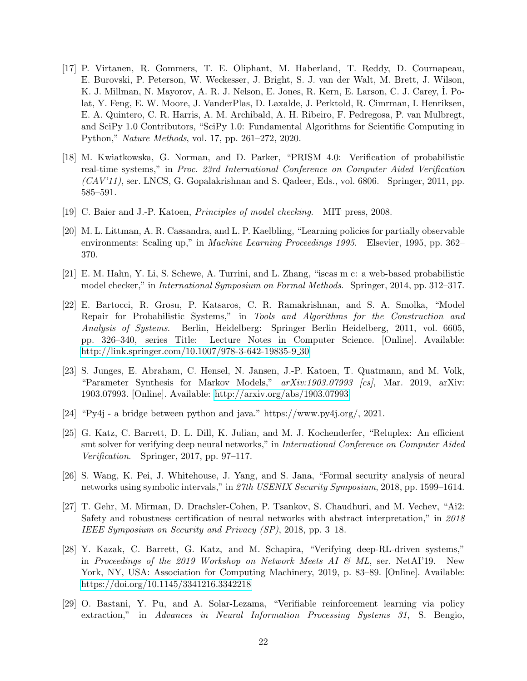- <span id="page-21-0"></span>[17] P. Virtanen, R. Gommers, T. E. Oliphant, M. Haberland, T. Reddy, D. Cournapeau, E. Burovski, P. Peterson, W. Weckesser, J. Bright, S. J. van der Walt, M. Brett, J. Wilson, K. J. Millman, N. Mayorov, A. R. J. Nelson, E. Jones, R. Kern, E. Larson, C. J. Carey, I. Polat, Y. Feng, E. W. Moore, J. VanderPlas, D. Laxalde, J. Perktold, R. Cimrman, I. Henriksen, E. A. Quintero, C. R. Harris, A. M. Archibald, A. H. Ribeiro, F. Pedregosa, P. van Mulbregt, and SciPy 1.0 Contributors, "SciPy 1.0: Fundamental Algorithms for Scientific Computing in Python," Nature Methods, vol. 17, pp. 261–272, 2020.
- <span id="page-21-1"></span>[18] M. Kwiatkowska, G. Norman, and D. Parker, "PRISM 4.0: Verification of probabilistic real-time systems," in Proc. 23rd International Conference on Computer Aided Verification  $(CAV'11)$ , ser. LNCS, G. Gopalakrishnan and S. Qadeer, Eds., vol. 6806. Springer, 2011, pp. 585–591.
- <span id="page-21-2"></span>[19] C. Baier and J.-P. Katoen, Principles of model checking. MIT press, 2008.
- <span id="page-21-3"></span>[20] M. L. Littman, A. R. Cassandra, and L. P. Kaelbling, "Learning policies for partially observable environments: Scaling up," in Machine Learning Proceedings 1995. Elsevier, 1995, pp. 362– 370.
- <span id="page-21-4"></span>[21] E. M. Hahn, Y. Li, S. Schewe, A. Turrini, and L. Zhang, "iscas m c: a web-based probabilistic model checker," in International Symposium on Formal Methods. Springer, 2014, pp. 312–317.
- <span id="page-21-5"></span>[22] E. Bartocci, R. Grosu, P. Katsaros, C. R. Ramakrishnan, and S. A. Smolka, "Model Repair for Probabilistic Systems," in Tools and Algorithms for the Construction and Analysis of Systems. Berlin, Heidelberg: Springer Berlin Heidelberg, 2011, vol. 6605, pp. 326–340, series Title: Lecture Notes in Computer Science. [Online]. Available: [http://link.springer.com/10.1007/978-3-642-19835-9](http://link.springer.com/10.1007/978-3-642-19835-9_30) 30
- <span id="page-21-6"></span>[23] S. Junges, E. Abraham, C. Hensel, N. Jansen, J.-P. Katoen, T. Quatmann, and M. Volk, "Parameter Synthesis for Markov Models,"  $arXiv:1903.07993$  [cs], Mar. 2019, arXiv: 1903.07993. [Online]. Available:<http://arxiv.org/abs/1903.07993>
- <span id="page-21-7"></span>[24] "Py4j - a bridge between python and java." https://www.py4j.org/, 2021.
- <span id="page-21-8"></span>[25] G. Katz, C. Barrett, D. L. Dill, K. Julian, and M. J. Kochenderfer, "Reluplex: An efficient smt solver for verifying deep neural networks," in International Conference on Computer Aided Verification. Springer, 2017, pp. 97–117.
- [26] S. Wang, K. Pei, J. Whitehouse, J. Yang, and S. Jana, "Formal security analysis of neural networks using symbolic intervals," in 27th USENIX Security Symposium, 2018, pp. 1599–1614.
- [27] T. Gehr, M. Mirman, D. Drachsler-Cohen, P. Tsankov, S. Chaudhuri, and M. Vechev, "Ai2: Safety and robustness certification of neural networks with abstract interpretation," in 2018 IEEE Symposium on Security and Privacy (SP), 2018, pp. 3–18.
- [28] Y. Kazak, C. Barrett, G. Katz, and M. Schapira, "Verifying deep-RL-driven systems," in Proceedings of the 2019 Workshop on Network Meets AI  $\mathcal{C}$  ML, ser. NetAI'19. New York, NY, USA: Association for Computing Machinery, 2019, p. 83–89. [Online]. Available: <https://doi.org/10.1145/3341216.3342218>
- <span id="page-21-9"></span>[29] O. Bastani, Y. Pu, and A. Solar-Lezama, "Verifiable reinforcement learning via policy extraction," in Advances in Neural Information Processing Systems 31, S. Bengio,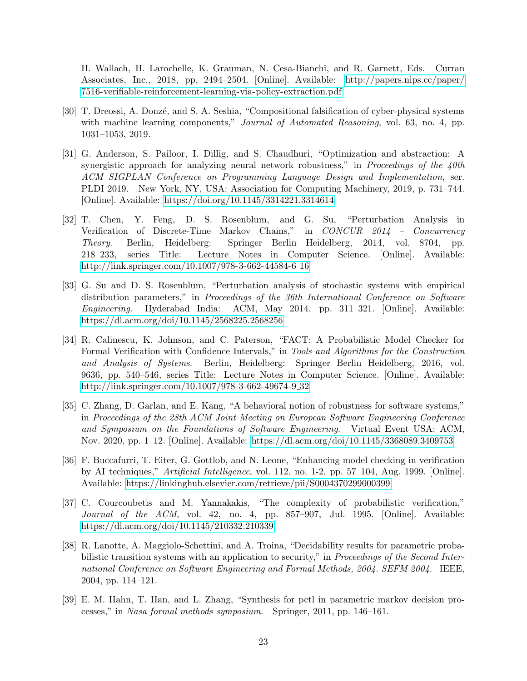H. Wallach, H. Larochelle, K. Grauman, N. Cesa-Bianchi, and R. Garnett, Eds. Curran Associates, Inc., 2018, pp. 2494–2504. [Online]. Available: [http://papers.nips.cc/paper/](http://papers.nips.cc/paper/7516-verifiable-reinforcement-learning-via-policy-extraction.pdf) [7516-verifiable-reinforcement-learning-via-policy-extraction.pdf](http://papers.nips.cc/paper/7516-verifiable-reinforcement-learning-via-policy-extraction.pdf)

- <span id="page-22-0"></span>[30] T. Dreossi, A. Donzé, and S. A. Seshia, "Compositional falsification of cyber-physical systems with machine learning components," Journal of Automated Reasoning, vol. 63, no. 4, pp. 1031–1053, 2019.
- <span id="page-22-1"></span>[31] G. Anderson, S. Pailoor, I. Dillig, and S. Chaudhuri, "Optimization and abstraction: A synergistic approach for analyzing neural network robustness," in Proceedings of the 40th ACM SIGPLAN Conference on Programming Language Design and Implementation, ser. PLDI 2019. New York, NY, USA: Association for Computing Machinery, 2019, p. 731–744. [Online]. Available:<https://doi.org/10.1145/3314221.3314614>
- <span id="page-22-2"></span>[32] T. Chen, Y. Feng, D. S. Rosenblum, and G. Su, "Perturbation Analysis in Verification of Discrete-Time Markov Chains," in CONCUR 2014 – Concurrency Theory. Berlin, Heidelberg: Springer Berlin Heidelberg, 2014, vol. 8704, pp. 218–233, series Title: Lecture Notes in Computer Science. [Online]. Available: [http://link.springer.com/10.1007/978-3-662-44584-6](http://link.springer.com/10.1007/978-3-662-44584-6_16) 16
- <span id="page-22-4"></span>[33] G. Su and D. S. Rosenblum, "Perturbation analysis of stochastic systems with empirical distribution parameters," in *Proceedings of the 36th International Conference on Software* Engineering. Hyderabad India: ACM, May 2014, pp. 311–321. [Online]. Available: <https://dl.acm.org/doi/10.1145/2568225.2568256>
- <span id="page-22-3"></span>[34] R. Calinescu, K. Johnson, and C. Paterson, "FACT: A Probabilistic Model Checker for Formal Verification with Confidence Intervals," in Tools and Algorithms for the Construction and Analysis of Systems. Berlin, Heidelberg: Springer Berlin Heidelberg, 2016, vol. 9636, pp. 540–546, series Title: Lecture Notes in Computer Science. [Online]. Available: [http://link.springer.com/10.1007/978-3-662-49674-9](http://link.springer.com/10.1007/978-3-662-49674-9_32) 32
- <span id="page-22-5"></span>[35] C. Zhang, D. Garlan, and E. Kang, "A behavioral notion of robustness for software systems," in Proceedings of the 28th ACM Joint Meeting on European Software Engineering Conference and Symposium on the Foundations of Software Engineering. Virtual Event USA: ACM, Nov. 2020, pp. 1–12. [Online]. Available:<https://dl.acm.org/doi/10.1145/3368089.3409753>
- <span id="page-22-6"></span>[36] F. Buccafurri, T. Eiter, G. Gottlob, and N. Leone, "Enhancing model checking in verification by AI techniques," Artificial Intelligence, vol. 112, no. 1-2, pp. 57–104, Aug. 1999. [Online]. Available:<https://linkinghub.elsevier.com/retrieve/pii/S0004370299000399>
- <span id="page-22-7"></span>[37] C. Courcoubetis and M. Yannakakis, "The complexity of probabilistic verification," Journal of the ACM, vol. 42, no. 4, pp. 857–907, Jul. 1995. [Online]. Available: <https://dl.acm.org/doi/10.1145/210332.210339>
- <span id="page-22-9"></span>[38] R. Lanotte, A. Maggiolo-Schettini, and A. Troina, "Decidability results for parametric probabilistic transition systems with an application to security," in *Proceedings of the Second Inter*national Conference on Software Engineering and Formal Methods, 2004. SEFM 2004. IEEE, 2004, pp. 114–121.
- <span id="page-22-8"></span>[39] E. M. Hahn, T. Han, and L. Zhang, "Synthesis for pctl in parametric markov decision processes," in Nasa formal methods symposium. Springer, 2011, pp. 146–161.